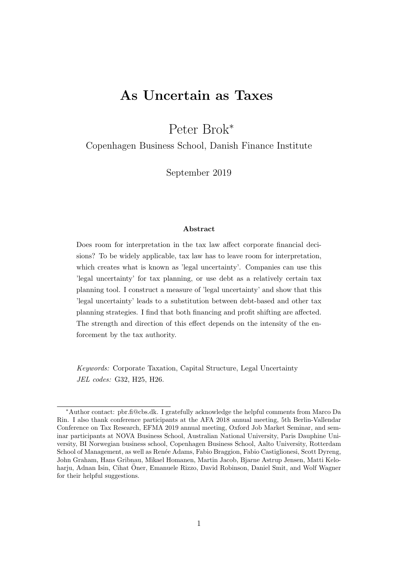# As Uncertain as Taxes

Peter Brok<sup>∗</sup>

Copenhagen Business School, Danish Finance Institute

September 2019

### Abstract

Does room for interpretation in the tax law affect corporate financial decisions? To be widely applicable, tax law has to leave room for interpretation, which creates what is known as 'legal uncertainty'. Companies can use this 'legal uncertainty' for tax planning, or use debt as a relatively certain tax planning tool. I construct a measure of 'legal uncertainty' and show that this 'legal uncertainty' leads to a substitution between debt-based and other tax planning strategies. I find that both financing and profit shifting are affected. The strength and direction of this effect depends on the intensity of the enforcement by the tax authority.

Keywords: Corporate Taxation, Capital Structure, Legal Uncertainty JEL codes: G32, H25, H26.

<sup>∗</sup>Author contact: pbr.fi@cbs.dk. I gratefully acknowledge the helpful comments from Marco Da Rin. I also thank conference participants at the AFA 2018 annual meeting, 5th Berlin-Vallendar Conference on Tax Research, EFMA 2019 annual meeting, Oxford Job Market Seminar, and seminar participants at NOVA Business School, Australian National University, Paris Dauphine University, BI Norwegian business school, Copenhagen Business School, Aalto University, Rotterdam School of Management, as well as Ren´ee Adams, Fabio Braggion, Fabio Castiglionesi, Scott Dyreng, John Graham, Hans Gribnau, Mikael Homanen, Martin Jacob, Bjarne Astrup Jensen, Matti Keloharju, Adnan Isin, Cihat Oner, Emanuele Rizzo, David Robinson, Daniel Smit, and Wolf Wagner for their helpful suggestions.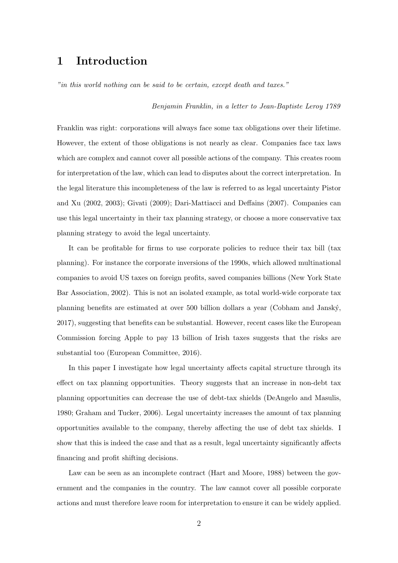# 1 Introduction

"in this world nothing can be said to be certain, except death and taxes."

#### Benjamin Franklin, in a letter to Jean-Baptiste Leroy 1789

Franklin was right: corporations will always face some tax obligations over their lifetime. However, the extent of those obligations is not nearly as clear. Companies face tax laws which are complex and cannot cover all possible actions of the company. This creates room for interpretation of the law, which can lead to disputes about the correct interpretation. In the legal literature this incompleteness of the law is referred to as legal uncertainty Pistor and Xu (2002, 2003); Givati (2009); Dari-Mattiacci and Deffains (2007). Companies can use this legal uncertainty in their tax planning strategy, or choose a more conservative tax planning strategy to avoid the legal uncertainty.

It can be profitable for firms to use corporate policies to reduce their tax bill (tax planning). For instance the corporate inversions of the 1990s, which allowed multinational companies to avoid US taxes on foreign profits, saved companies billions (New York State Bar Association, 2002). This is not an isolated example, as total world-wide corporate tax planning benefits are estimated at over 500 billion dollars a year (Cobham and Jansk´y, 2017), suggesting that benefits can be substantial. However, recent cases like the European Commission forcing Apple to pay 13 billion of Irish taxes suggests that the risks are substantial too (European Committee, 2016).

In this paper I investigate how legal uncertainty affects capital structure through its effect on tax planning opportunities. Theory suggests that an increase in non-debt tax planning opportunities can decrease the use of debt-tax shields (DeAngelo and Masulis, 1980; Graham and Tucker, 2006). Legal uncertainty increases the amount of tax planning opportunities available to the company, thereby affecting the use of debt tax shields. I show that this is indeed the case and that as a result, legal uncertainty significantly affects financing and profit shifting decisions.

Law can be seen as an incomplete contract (Hart and Moore, 1988) between the government and the companies in the country. The law cannot cover all possible corporate actions and must therefore leave room for interpretation to ensure it can be widely applied.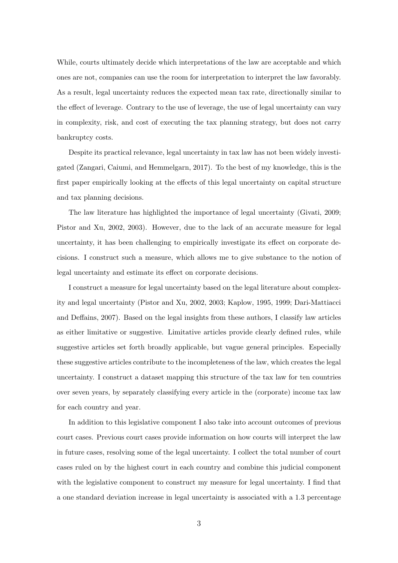While, courts ultimately decide which interpretations of the law are acceptable and which ones are not, companies can use the room for interpretation to interpret the law favorably. As a result, legal uncertainty reduces the expected mean tax rate, directionally similar to the effect of leverage. Contrary to the use of leverage, the use of legal uncertainty can vary in complexity, risk, and cost of executing the tax planning strategy, but does not carry bankruptcy costs.

Despite its practical relevance, legal uncertainty in tax law has not been widely investigated (Zangari, Caiumi, and Hemmelgarn, 2017). To the best of my knowledge, this is the first paper empirically looking at the effects of this legal uncertainty on capital structure and tax planning decisions.

The law literature has highlighted the importance of legal uncertainty (Givati, 2009; Pistor and Xu, 2002, 2003). However, due to the lack of an accurate measure for legal uncertainty, it has been challenging to empirically investigate its effect on corporate decisions. I construct such a measure, which allows me to give substance to the notion of legal uncertainty and estimate its effect on corporate decisions.

I construct a measure for legal uncertainty based on the legal literature about complexity and legal uncertainty (Pistor and Xu, 2002, 2003; Kaplow, 1995, 1999; Dari-Mattiacci and Deffains, 2007). Based on the legal insights from these authors, I classify law articles as either limitative or suggestive. Limitative articles provide clearly defined rules, while suggestive articles set forth broadly applicable, but vague general principles. Especially these suggestive articles contribute to the incompleteness of the law, which creates the legal uncertainty. I construct a dataset mapping this structure of the tax law for ten countries over seven years, by separately classifying every article in the (corporate) income tax law for each country and year.

In addition to this legislative component I also take into account outcomes of previous court cases. Previous court cases provide information on how courts will interpret the law in future cases, resolving some of the legal uncertainty. I collect the total number of court cases ruled on by the highest court in each country and combine this judicial component with the legislative component to construct my measure for legal uncertainty. I find that a one standard deviation increase in legal uncertainty is associated with a 1.3 percentage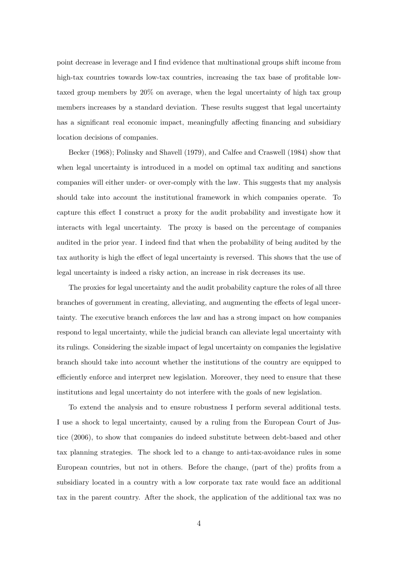point decrease in leverage and I find evidence that multinational groups shift income from high-tax countries towards low-tax countries, increasing the tax base of profitable lowtaxed group members by 20% on average, when the legal uncertainty of high tax group members increases by a standard deviation. These results suggest that legal uncertainty has a significant real economic impact, meaningfully affecting financing and subsidiary location decisions of companies.

Becker (1968); Polinsky and Shavell (1979), and Calfee and Craswell (1984) show that when legal uncertainty is introduced in a model on optimal tax auditing and sanctions companies will either under- or over-comply with the law. This suggests that my analysis should take into account the institutional framework in which companies operate. To capture this effect I construct a proxy for the audit probability and investigate how it interacts with legal uncertainty. The proxy is based on the percentage of companies audited in the prior year. I indeed find that when the probability of being audited by the tax authority is high the effect of legal uncertainty is reversed. This shows that the use of legal uncertainty is indeed a risky action, an increase in risk decreases its use.

The proxies for legal uncertainty and the audit probability capture the roles of all three branches of government in creating, alleviating, and augmenting the effects of legal uncertainty. The executive branch enforces the law and has a strong impact on how companies respond to legal uncertainty, while the judicial branch can alleviate legal uncertainty with its rulings. Considering the sizable impact of legal uncertainty on companies the legislative branch should take into account whether the institutions of the country are equipped to efficiently enforce and interpret new legislation. Moreover, they need to ensure that these institutions and legal uncertainty do not interfere with the goals of new legislation.

To extend the analysis and to ensure robustness I perform several additional tests. I use a shock to legal uncertainty, caused by a ruling from the European Court of Justice (2006), to show that companies do indeed substitute between debt-based and other tax planning strategies. The shock led to a change to anti-tax-avoidance rules in some European countries, but not in others. Before the change, (part of the) profits from a subsidiary located in a country with a low corporate tax rate would face an additional tax in the parent country. After the shock, the application of the additional tax was no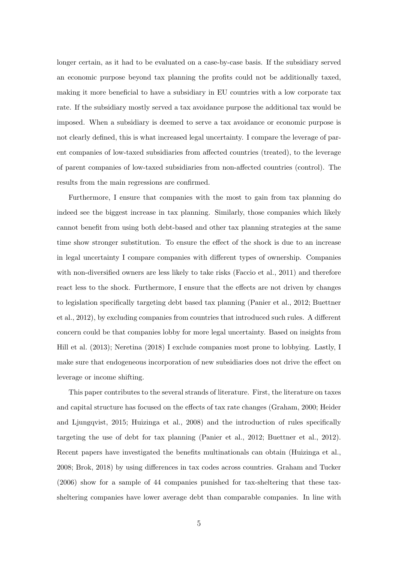longer certain, as it had to be evaluated on a case-by-case basis. If the subsidiary served an economic purpose beyond tax planning the profits could not be additionally taxed, making it more beneficial to have a subsidiary in EU countries with a low corporate tax rate. If the subsidiary mostly served a tax avoidance purpose the additional tax would be imposed. When a subsidiary is deemed to serve a tax avoidance or economic purpose is not clearly defined, this is what increased legal uncertainty. I compare the leverage of parent companies of low-taxed subsidiaries from affected countries (treated), to the leverage of parent companies of low-taxed subsidiaries from non-affected countries (control). The results from the main regressions are confirmed.

Furthermore, I ensure that companies with the most to gain from tax planning do indeed see the biggest increase in tax planning. Similarly, those companies which likely cannot benefit from using both debt-based and other tax planning strategies at the same time show stronger substitution. To ensure the effect of the shock is due to an increase in legal uncertainty I compare companies with different types of ownership. Companies with non-diversified owners are less likely to take risks (Faccio et al., 2011) and therefore react less to the shock. Furthermore, I ensure that the effects are not driven by changes to legislation specifically targeting debt based tax planning (Panier et al., 2012; Buettner et al., 2012), by excluding companies from countries that introduced such rules. A different concern could be that companies lobby for more legal uncertainty. Based on insights from Hill et al. (2013); Neretina (2018) I exclude companies most prone to lobbying. Lastly, I make sure that endogeneous incorporation of new subsidiaries does not drive the effect on leverage or income shifting.

This paper contributes to the several strands of literature. First, the literature on taxes and capital structure has focused on the effects of tax rate changes (Graham, 2000; Heider and Ljungqvist, 2015; Huizinga et al., 2008) and the introduction of rules specifically targeting the use of debt for tax planning (Panier et al., 2012; Buettner et al., 2012). Recent papers have investigated the benefits multinationals can obtain (Huizinga et al., 2008; Brok, 2018) by using differences in tax codes across countries. Graham and Tucker (2006) show for a sample of 44 companies punished for tax-sheltering that these taxsheltering companies have lower average debt than comparable companies. In line with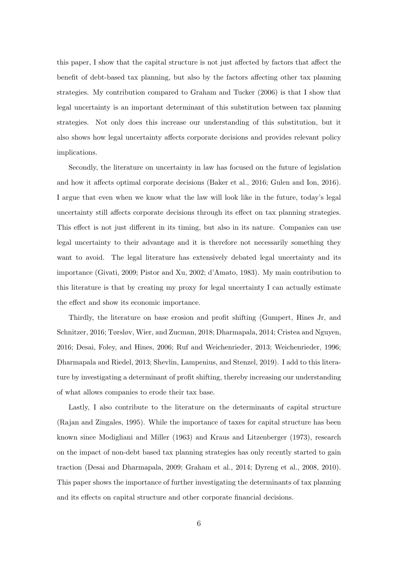this paper, I show that the capital structure is not just affected by factors that affect the benefit of debt-based tax planning, but also by the factors affecting other tax planning strategies. My contribution compared to Graham and Tucker (2006) is that I show that legal uncertainty is an important determinant of this substitution between tax planning strategies. Not only does this increase our understanding of this substitution, but it also shows how legal uncertainty affects corporate decisions and provides relevant policy implications.

Secondly, the literature on uncertainty in law has focused on the future of legislation and how it affects optimal corporate decisions (Baker et al., 2016; Gulen and Ion, 2016). I argue that even when we know what the law will look like in the future, today's legal uncertainty still affects corporate decisions through its effect on tax planning strategies. This effect is not just different in its timing, but also in its nature. Companies can use legal uncertainty to their advantage and it is therefore not necessarily something they want to avoid. The legal literature has extensively debated legal uncertainty and its importance (Givati, 2009; Pistor and Xu, 2002; d'Amato, 1983). My main contribution to this literature is that by creating my proxy for legal uncertainty I can actually estimate the effect and show its economic importance.

Thirdly, the literature on base erosion and profit shifting (Gumpert, Hines Jr, and Schnitzer, 2016; Tørsløv, Wier, and Zucman, 2018; Dharmapala, 2014; Cristea and Nguyen, 2016; Desai, Foley, and Hines, 2006; Ruf and Weichenrieder, 2013; Weichenrieder, 1996; Dharmapala and Riedel, 2013; Shevlin, Lampenius, and Stenzel, 2019). I add to this literature by investigating a determinant of profit shifting, thereby increasing our understanding of what allows companies to erode their tax base.

Lastly, I also contribute to the literature on the determinants of capital structure (Rajan and Zingales, 1995). While the importance of taxes for capital structure has been known since Modigliani and Miller (1963) and Kraus and Litzenberger (1973), research on the impact of non-debt based tax planning strategies has only recently started to gain traction (Desai and Dharmapala, 2009; Graham et al., 2014; Dyreng et al., 2008, 2010). This paper shows the importance of further investigating the determinants of tax planning and its effects on capital structure and other corporate financial decisions.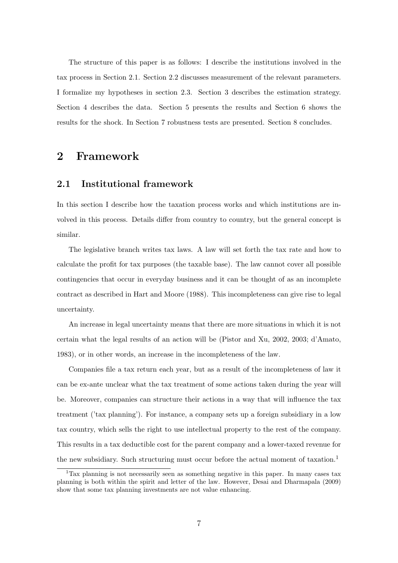The structure of this paper is as follows: I describe the institutions involved in the tax process in Section 2.1. Section 2.2 discusses measurement of the relevant parameters. I formalize my hypotheses in section 2.3. Section 3 describes the estimation strategy. Section 4 describes the data. Section 5 presents the results and Section 6 shows the results for the shock. In Section 7 robustness tests are presented. Section 8 concludes.

# 2 Framework

# 2.1 Institutional framework

In this section I describe how the taxation process works and which institutions are involved in this process. Details differ from country to country, but the general concept is similar.

The legislative branch writes tax laws. A law will set forth the tax rate and how to calculate the profit for tax purposes (the taxable base). The law cannot cover all possible contingencies that occur in everyday business and it can be thought of as an incomplete contract as described in Hart and Moore (1988). This incompleteness can give rise to legal uncertainty.

An increase in legal uncertainty means that there are more situations in which it is not certain what the legal results of an action will be (Pistor and Xu, 2002, 2003; d'Amato, 1983), or in other words, an increase in the incompleteness of the law.

Companies file a tax return each year, but as a result of the incompleteness of law it can be ex-ante unclear what the tax treatment of some actions taken during the year will be. Moreover, companies can structure their actions in a way that will influence the tax treatment ('tax planning'). For instance, a company sets up a foreign subsidiary in a low tax country, which sells the right to use intellectual property to the rest of the company. This results in a tax deductible cost for the parent company and a lower-taxed revenue for the new subsidiary. Such structuring must occur before the actual moment of taxation.<sup>1</sup>

<sup>&</sup>lt;sup>1</sup>Tax planning is not necessarily seen as something negative in this paper. In many cases tax planning is both within the spirit and letter of the law. However, Desai and Dharmapala (2009) show that some tax planning investments are not value enhancing.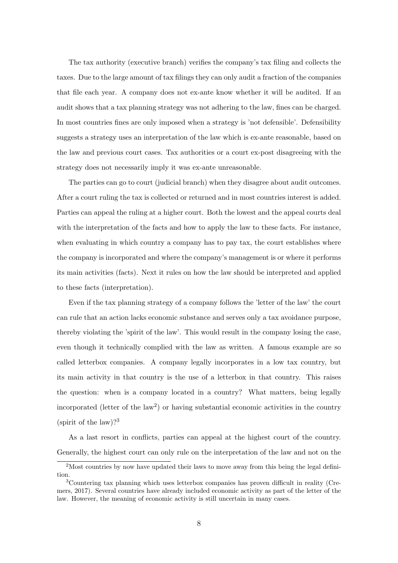The tax authority (executive branch) verifies the company's tax filing and collects the taxes. Due to the large amount of tax filings they can only audit a fraction of the companies that file each year. A company does not ex-ante know whether it will be audited. If an audit shows that a tax planning strategy was not adhering to the law, fines can be charged. In most countries fines are only imposed when a strategy is 'not defensible'. Defensibility suggests a strategy uses an interpretation of the law which is ex-ante reasonable, based on the law and previous court cases. Tax authorities or a court ex-post disagreeing with the strategy does not necessarily imply it was ex-ante unreasonable.

The parties can go to court (judicial branch) when they disagree about audit outcomes. After a court ruling the tax is collected or returned and in most countries interest is added. Parties can appeal the ruling at a higher court. Both the lowest and the appeal courts deal with the interpretation of the facts and how to apply the law to these facts. For instance, when evaluating in which country a company has to pay tax, the court establishes where the company is incorporated and where the company's management is or where it performs its main activities (facts). Next it rules on how the law should be interpreted and applied to these facts (interpretation).

Even if the tax planning strategy of a company follows the 'letter of the law' the court can rule that an action lacks economic substance and serves only a tax avoidance purpose, thereby violating the 'spirit of the law'. This would result in the company losing the case, even though it technically complied with the law as written. A famous example are so called letterbox companies. A company legally incorporates in a low tax country, but its main activity in that country is the use of a letterbox in that country. This raises the question: when is a company located in a country? What matters, being legally incorporated (letter of the  $law^2$ ) or having substantial economic activities in the country (spirit of the law)?<sup>3</sup>

As a last resort in conflicts, parties can appeal at the highest court of the country. Generally, the highest court can only rule on the interpretation of the law and not on the

<sup>&</sup>lt;sup>2</sup>Most countries by now have updated their laws to move away from this being the legal definition.

<sup>3</sup>Countering tax planning which uses letterbox companies has proven difficult in reality (Cremers, 2017). Several countries have already included economic activity as part of the letter of the law. However, the meaning of economic activity is still uncertain in many cases.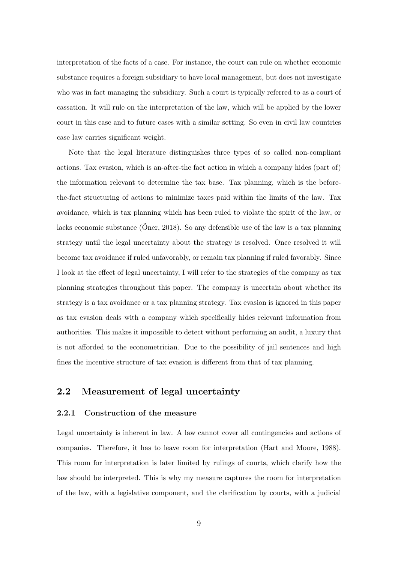interpretation of the facts of a case. For instance, the court can rule on whether economic substance requires a foreign subsidiary to have local management, but does not investigate who was in fact managing the subsidiary. Such a court is typically referred to as a court of cassation. It will rule on the interpretation of the law, which will be applied by the lower court in this case and to future cases with a similar setting. So even in civil law countries case law carries significant weight.

Note that the legal literature distinguishes three types of so called non-compliant actions. Tax evasion, which is an-after-the fact action in which a company hides (part of) the information relevant to determine the tax base. Tax planning, which is the beforethe-fact structuring of actions to minimize taxes paid within the limits of the law. Tax avoidance, which is tax planning which has been ruled to violate the spirit of the law, or lacks economic substance (Oner, 2018). So any defensible use of the law is a tax planning strategy until the legal uncertainty about the strategy is resolved. Once resolved it will become tax avoidance if ruled unfavorably, or remain tax planning if ruled favorably. Since I look at the effect of legal uncertainty, I will refer to the strategies of the company as tax planning strategies throughout this paper. The company is uncertain about whether its strategy is a tax avoidance or a tax planning strategy. Tax evasion is ignored in this paper as tax evasion deals with a company which specifically hides relevant information from authorities. This makes it impossible to detect without performing an audit, a luxury that is not afforded to the econometrician. Due to the possibility of jail sentences and high fines the incentive structure of tax evasion is different from that of tax planning.

## 2.2 Measurement of legal uncertainty

### 2.2.1 Construction of the measure

Legal uncertainty is inherent in law. A law cannot cover all contingencies and actions of companies. Therefore, it has to leave room for interpretation (Hart and Moore, 1988). This room for interpretation is later limited by rulings of courts, which clarify how the law should be interpreted. This is why my measure captures the room for interpretation of the law, with a legislative component, and the clarification by courts, with a judicial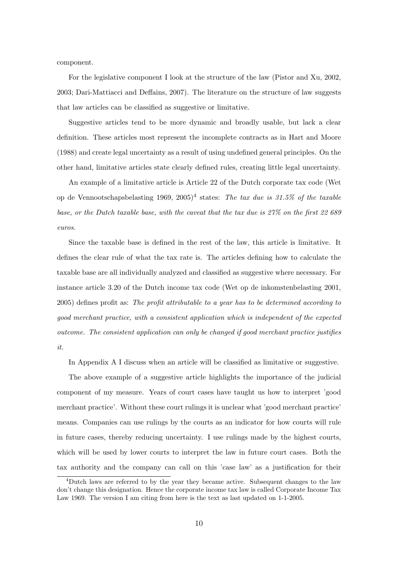component.

For the legislative component I look at the structure of the law (Pistor and Xu, 2002, 2003; Dari-Mattiacci and Deffains, 2007). The literature on the structure of law suggests that law articles can be classified as suggestive or limitative.

Suggestive articles tend to be more dynamic and broadly usable, but lack a clear definition. These articles most represent the incomplete contracts as in Hart and Moore (1988) and create legal uncertainty as a result of using undefined general principles. On the other hand, limitative articles state clearly defined rules, creating little legal uncertainty.

An example of a limitative article is Article 22 of the Dutch corporate tax code (Wet op de Vennootschapsbelasting 1969, 2005)<sup>4</sup> states: The tax due is 31.5% of the taxable base, or the Dutch taxable base, with the caveat that the tax due is 27% on the first 22 689 euros.

Since the taxable base is defined in the rest of the law, this article is limitative. It defines the clear rule of what the tax rate is. The articles defining how to calculate the taxable base are all individually analyzed and classified as suggestive where necessary. For instance article 3.20 of the Dutch income tax code (Wet op de inkomstenbelasting 2001, 2005) defines profit as: The profit attributable to a year has to be determined according to good merchant practice, with a consistent application which is independent of the expected outcome. The consistent application can only be changed if good merchant practice justifies it.

In Appendix A I discuss when an article will be classified as limitative or suggestive.

The above example of a suggestive article highlights the importance of the judicial component of my measure. Years of court cases have taught us how to interpret 'good merchant practice'. Without these court rulings it is unclear what 'good merchant practice' means. Companies can use rulings by the courts as an indicator for how courts will rule in future cases, thereby reducing uncertainty. I use rulings made by the highest courts, which will be used by lower courts to interpret the law in future court cases. Both the tax authority and the company can call on this 'case law' as a justification for their

<sup>&</sup>lt;sup>4</sup>Dutch laws are referred to by the year they became active. Subsequent changes to the law don't change this designation. Hence the corporate income tax law is called Corporate Income Tax Law 1969. The version I am citing from here is the text as last updated on 1-1-2005.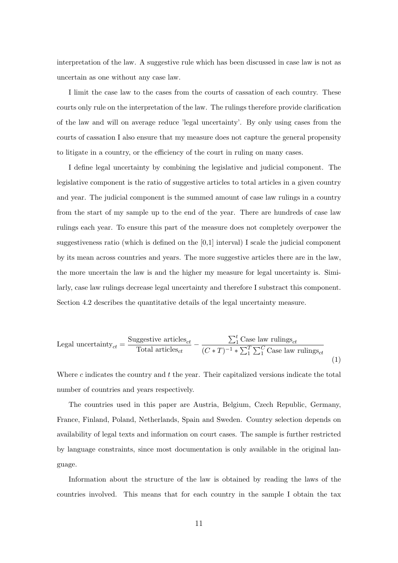interpretation of the law. A suggestive rule which has been discussed in case law is not as uncertain as one without any case law.

I limit the case law to the cases from the courts of cassation of each country. These courts only rule on the interpretation of the law. The rulings therefore provide clarification of the law and will on average reduce 'legal uncertainty'. By only using cases from the courts of cassation I also ensure that my measure does not capture the general propensity to litigate in a country, or the efficiency of the court in ruling on many cases.

I define legal uncertainty by combining the legislative and judicial component. The legislative component is the ratio of suggestive articles to total articles in a given country and year. The judicial component is the summed amount of case law rulings in a country from the start of my sample up to the end of the year. There are hundreds of case law rulings each year. To ensure this part of the measure does not completely overpower the suggestiveness ratio (which is defined on the [0,1] interval) I scale the judicial component by its mean across countries and years. The more suggestive articles there are in the law, the more uncertain the law is and the higher my measure for legal uncertainty is. Similarly, case law rulings decrease legal uncertainty and therefore I substract this component. Section 4.2 describes the quantitative details of the legal uncertainty measure.

$$
\text{Legal uncertainty}_{ct} = \frac{\text{Suggestive articles}_{ct}}{\text{Total articles}_{ct}} - \frac{\sum_{1}^{t} \text{Case law rulings}_{ct}}{(C*T)^{-1} * \sum_{1}^{T} \sum_{1}^{C} \text{Case law rulings}_{ct}} \tag{1}
$$

Where c indicates the country and  $t$  the year. Their capitalized versions indicate the total number of countries and years respectively.

The countries used in this paper are Austria, Belgium, Czech Republic, Germany, France, Finland, Poland, Netherlands, Spain and Sweden. Country selection depends on availability of legal texts and information on court cases. The sample is further restricted by language constraints, since most documentation is only available in the original language.

Information about the structure of the law is obtained by reading the laws of the countries involved. This means that for each country in the sample I obtain the tax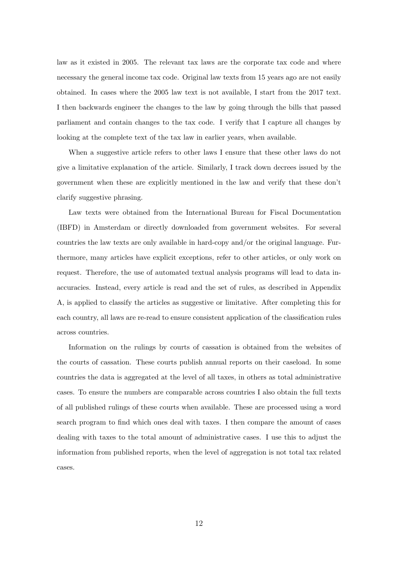law as it existed in 2005. The relevant tax laws are the corporate tax code and where necessary the general income tax code. Original law texts from 15 years ago are not easily obtained. In cases where the 2005 law text is not available, I start from the 2017 text. I then backwards engineer the changes to the law by going through the bills that passed parliament and contain changes to the tax code. I verify that I capture all changes by looking at the complete text of the tax law in earlier years, when available.

When a suggestive article refers to other laws I ensure that these other laws do not give a limitative explanation of the article. Similarly, I track down decrees issued by the government when these are explicitly mentioned in the law and verify that these don't clarify suggestive phrasing.

Law texts were obtained from the International Bureau for Fiscal Documentation (IBFD) in Amsterdam or directly downloaded from government websites. For several countries the law texts are only available in hard-copy and/or the original language. Furthermore, many articles have explicit exceptions, refer to other articles, or only work on request. Therefore, the use of automated textual analysis programs will lead to data inaccuracies. Instead, every article is read and the set of rules, as described in Appendix A, is applied to classify the articles as suggestive or limitative. After completing this for each country, all laws are re-read to ensure consistent application of the classification rules across countries.

Information on the rulings by courts of cassation is obtained from the websites of the courts of cassation. These courts publish annual reports on their caseload. In some countries the data is aggregated at the level of all taxes, in others as total administrative cases. To ensure the numbers are comparable across countries I also obtain the full texts of all published rulings of these courts when available. These are processed using a word search program to find which ones deal with taxes. I then compare the amount of cases dealing with taxes to the total amount of administrative cases. I use this to adjust the information from published reports, when the level of aggregation is not total tax related cases.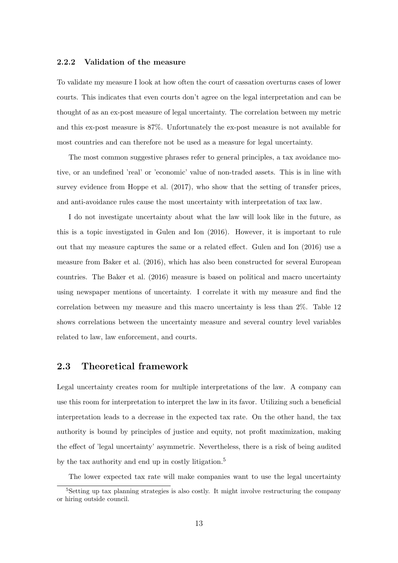### 2.2.2 Validation of the measure

To validate my measure I look at how often the court of cassation overturns cases of lower courts. This indicates that even courts don't agree on the legal interpretation and can be thought of as an ex-post measure of legal uncertainty. The correlation between my metric and this ex-post measure is 87%. Unfortunately the ex-post measure is not available for most countries and can therefore not be used as a measure for legal uncertainty.

The most common suggestive phrases refer to general principles, a tax avoidance motive, or an undefined 'real' or 'economic' value of non-traded assets. This is in line with survey evidence from Hoppe et al. (2017), who show that the setting of transfer prices, and anti-avoidance rules cause the most uncertainty with interpretation of tax law.

I do not investigate uncertainty about what the law will look like in the future, as this is a topic investigated in Gulen and Ion (2016). However, it is important to rule out that my measure captures the same or a related effect. Gulen and Ion (2016) use a measure from Baker et al. (2016), which has also been constructed for several European countries. The Baker et al. (2016) measure is based on political and macro uncertainty using newspaper mentions of uncertainty. I correlate it with my measure and find the correlation between my measure and this macro uncertainty is less than 2%. Table 12 shows correlations between the uncertainty measure and several country level variables related to law, law enforcement, and courts.

### 2.3 Theoretical framework

Legal uncertainty creates room for multiple interpretations of the law. A company can use this room for interpretation to interpret the law in its favor. Utilizing such a beneficial interpretation leads to a decrease in the expected tax rate. On the other hand, the tax authority is bound by principles of justice and equity, not profit maximization, making the effect of 'legal uncertainty' asymmetric. Nevertheless, there is a risk of being audited by the tax authority and end up in costly litigation.<sup>5</sup>

The lower expected tax rate will make companies want to use the legal uncertainty

<sup>&</sup>lt;sup>5</sup>Setting up tax planning strategies is also costly. It might involve restructuring the company or hiring outside council.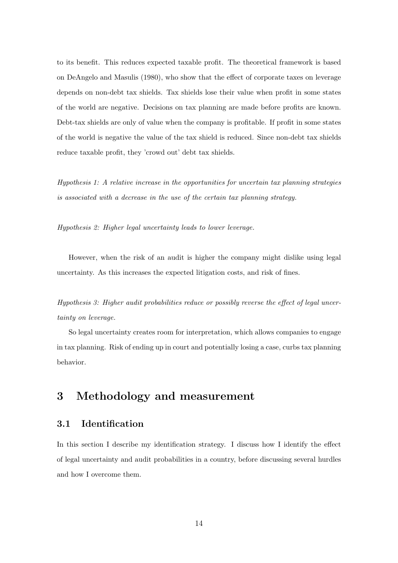to its benefit. This reduces expected taxable profit. The theoretical framework is based on DeAngelo and Masulis (1980), who show that the effect of corporate taxes on leverage depends on non-debt tax shields. Tax shields lose their value when profit in some states of the world are negative. Decisions on tax planning are made before profits are known. Debt-tax shields are only of value when the company is profitable. If profit in some states of the world is negative the value of the tax shield is reduced. Since non-debt tax shields reduce taxable profit, they 'crowd out' debt tax shields.

Hypothesis 1: A relative increase in the opportunities for uncertain tax planning strategies is associated with a decrease in the use of the certain tax planning strategy.

Hypothesis 2: Higher legal uncertainty leads to lower leverage.

However, when the risk of an audit is higher the company might dislike using legal uncertainty. As this increases the expected litigation costs, and risk of fines.

Hypothesis 3: Higher audit probabilities reduce or possibly reverse the effect of legal uncertainty on leverage.

So legal uncertainty creates room for interpretation, which allows companies to engage in tax planning. Risk of ending up in court and potentially losing a case, curbs tax planning behavior.

# 3 Methodology and measurement

# 3.1 Identification

In this section I describe my identification strategy. I discuss how I identify the effect of legal uncertainty and audit probabilities in a country, before discussing several hurdles and how I overcome them.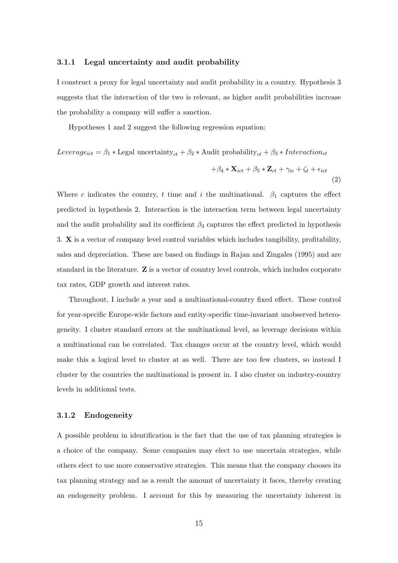#### 3.1.1 Legal uncertainty and audit probability

I construct a proxy for legal uncertainty and audit probability in a country. Hypothesis 3 suggests that the interaction of the two is relevant, as higher audit probabilities increase the probability a company will suffer a sanction.

Hypotheses 1 and 2 suggest the following regression equation:

$$
Leverage_{ict} = \beta_1 * \text{Legal uncertainty}_{ct} + \beta_2 * \text{Audit probability}_{ct} + \beta_3 * \text{Interaction}_{ct}
$$

$$
+ \beta_4 * \mathbf{X}_{ict} + \beta_5 * \mathbf{Z}_{ct} + \gamma_{ic} + \zeta_t + \epsilon_{ict}
$$

$$
\tag{2}
$$

Where c indicates the country, t time and i the multinational.  $\beta_1$  captures the effect predicted in hypothesis 2. Interaction is the interaction term between legal uncertainty and the audit probability and its coefficient  $\beta_3$  captures the effect predicted in hypothesis 3. X is a vector of company level control variables which includes tangibility, profitability, sales and depreciation. These are based on findings in Rajan and Zingales (1995) and are standard in the literature. Z is a vector of country level controls, which includes corporate tax rates, GDP growth and interest rates.

Throughout, I include a year and a multinational-country fixed effect. These control for year-specific Europe-wide factors and entity-specific time-invariant unobserved heterogeneity. I cluster standard errors at the multinational level, as leverage decisions within a multinational can be correlated. Tax changes occur at the country level, which would make this a logical level to cluster at as well. There are too few clusters, so instead I cluster by the countries the multinational is present in. I also cluster on industry-country levels in additional tests.

#### 3.1.2 Endogeneity

A possible problem in identification is the fact that the use of tax planning strategies is a choice of the company. Some companies may elect to use uncertain strategies, while others elect to use more conservative strategies. This means that the company chooses its tax planning strategy and as a result the amount of uncertainty it faces, thereby creating an endogeneity problem. I account for this by measuring the uncertainty inherent in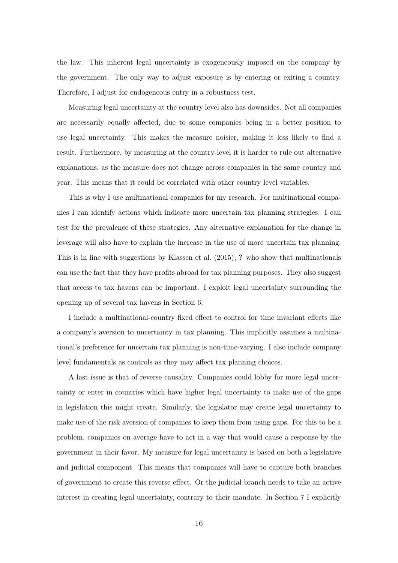the law. This inherent legal uncertainty is exogeneously imposed on the company by the government. The only way to adjust exposure is by entering or exiting a country. Therefore, I adjust for endogeneous entry in a robustness test.

Measuring legal uncertainty at the country level also has downsides. Not all companies are necessarily equally affected, due to some companies being in a better position to use legal uncertainty. This makes the measure noisier, making it less likely to find a result. Furthermore, by measuring at the country-level it is harder to rule out alternative explanations, as the measure does not change across companies in the same country and year. This means that it could be correlated with other country level variables.

This is why I use multinational companies for my research. For multinational companies I can identify actions which indicate more uncertain tax planning strategies. I can test for the prevalence of these strategies. Any alternative explanation for the change in leverage will also have to explain the increase in the use of more uncertain tax planning. This is in line with suggestions by Klassen et al. (2015); ? who show that multinationals can use the fact that they have profits abroad for tax planning purposes. They also suggest that access to tax havens can be important. I exploit legal uncertainty surrounding the opening up of several tax havens in Section 6.

I include a multinational-country fixed effect to control for time invariant effects like a company's aversion to uncertainty in tax planning. This implicitly assumes a multinational's preference for uncertain tax planning is non-time-varying. I also include company level fundamentals as controls as they may affect tax planning choices.

A last issue is that of reverse causality. Companies could lobby for more legal uncertainty or enter in countries which have higher legal uncertainty to make use of the gaps in legislation this might create. Similarly, the legislator may create legal uncertainty to make use of the risk aversion of companies to keep them from using gaps. For this to be a problem, companies on average have to act in a way that would cause a response by the government in their favor. My measure for legal uncertainty is based on both a legislative and judicial component. This means that companies will have to capture both branches of government to create this reverse effect. Or the judicial branch needs to take an active interest in creating legal uncertainty, contrary to their mandate. In Section 7 I explicitly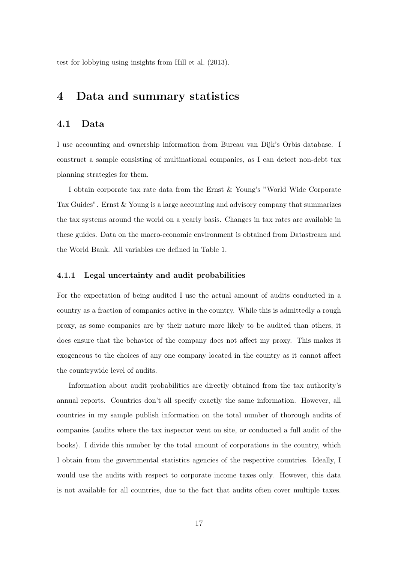test for lobbying using insights from Hill et al. (2013).

# 4 Data and summary statistics

### 4.1 Data

I use accounting and ownership information from Bureau van Dijk's Orbis database. I construct a sample consisting of multinational companies, as I can detect non-debt tax planning strategies for them.

I obtain corporate tax rate data from the Ernst & Young's "World Wide Corporate Tax Guides". Ernst & Young is a large accounting and advisory company that summarizes the tax systems around the world on a yearly basis. Changes in tax rates are available in these guides. Data on the macro-economic environment is obtained from Datastream and the World Bank. All variables are defined in Table 1.

#### 4.1.1 Legal uncertainty and audit probabilities

For the expectation of being audited I use the actual amount of audits conducted in a country as a fraction of companies active in the country. While this is admittedly a rough proxy, as some companies are by their nature more likely to be audited than others, it does ensure that the behavior of the company does not affect my proxy. This makes it exogeneous to the choices of any one company located in the country as it cannot affect the countrywide level of audits.

Information about audit probabilities are directly obtained from the tax authority's annual reports. Countries don't all specify exactly the same information. However, all countries in my sample publish information on the total number of thorough audits of companies (audits where the tax inspector went on site, or conducted a full audit of the books). I divide this number by the total amount of corporations in the country, which I obtain from the governmental statistics agencies of the respective countries. Ideally, I would use the audits with respect to corporate income taxes only. However, this data is not available for all countries, due to the fact that audits often cover multiple taxes.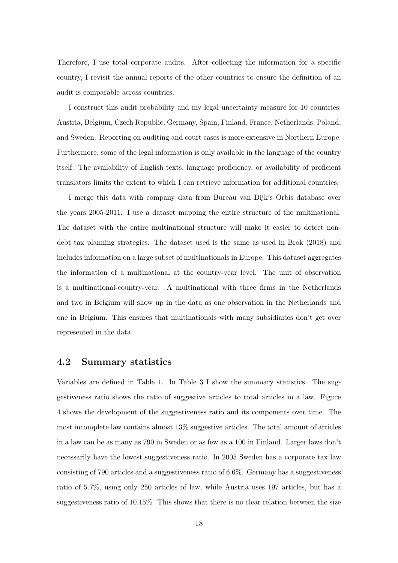Therefore, I use total corporate audits. After collecting the information for a specific country, I revisit the annual reports of the other countries to ensure the definition of an audit is comparable across countries.

I construct this audit probability and my legal uncertainty measure for 10 countries: Austria, Belgium, Czech Republic, Germany, Spain, Finland, France, Netherlands, Poland, and Sweden. Reporting on auditing and court cases is more extensive in Northern Europe. Furthermore, some of the legal information is only available in the language of the country itself. The availability of English texts, language proficiency, or availability of proficient translators limits the extent to which I can retrieve information for additional countries.

I merge this data with company data from Bureau van Dijk's Orbis database over the years 2005-2011. I use a dataset mapping the entire structure of the multinational. The dataset with the entire multinational structure will make it easier to detect nondebt tax planning strategies. The dataset used is the same as used in Brok (2018) and includes information on a large subset of multinationals in Europe. This dataset aggregates the information of a multinational at the country-year level. The unit of observation is a multinational-country-year. A multinational with three firms in the Netherlands and two in Belgium will show up in the data as one observation in the Netherlands and one in Belgium. This ensures that multinationals with many subsidiaries don't get over represented in the data.

## 4.2 Summary statistics

Variables are defined in Table 1. In Table 3 I show the summary statistics. The suggestiveness ratio shows the ratio of suggestive articles to total articles in a law. Figure 4 shows the development of the suggestiveness ratio and its components over time. The most incomplete law contains almost 13% suggestive articles. The total amount of articles in a law can be as many as 790 in Sweden or as few as a 100 in Finland. Larger laws don't necessarily have the lowest suggestiveness ratio. In 2005 Sweden has a corporate tax law consisting of 790 articles and a suggestiveness ratio of 6.6%. Germany has a suggestiveness ratio of 5.7%, using only 250 articles of law, while Austria uses 197 articles, but has a suggestiveness ratio of 10.15%. This shows that there is no clear relation between the size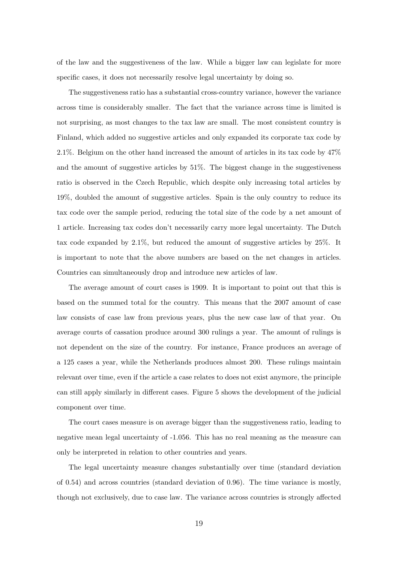of the law and the suggestiveness of the law. While a bigger law can legislate for more specific cases, it does not necessarily resolve legal uncertainty by doing so.

The suggestiveness ratio has a substantial cross-country variance, however the variance across time is considerably smaller. The fact that the variance across time is limited is not surprising, as most changes to the tax law are small. The most consistent country is Finland, which added no suggestive articles and only expanded its corporate tax code by 2.1%. Belgium on the other hand increased the amount of articles in its tax code by 47% and the amount of suggestive articles by 51%. The biggest change in the suggestiveness ratio is observed in the Czech Republic, which despite only increasing total articles by 19%, doubled the amount of suggestive articles. Spain is the only country to reduce its tax code over the sample period, reducing the total size of the code by a net amount of 1 article. Increasing tax codes don't necessarily carry more legal uncertainty. The Dutch tax code expanded by 2.1%, but reduced the amount of suggestive articles by 25%. It is important to note that the above numbers are based on the net changes in articles. Countries can simultaneously drop and introduce new articles of law.

The average amount of court cases is 1909. It is important to point out that this is based on the summed total for the country. This means that the 2007 amount of case law consists of case law from previous years, plus the new case law of that year. On average courts of cassation produce around 300 rulings a year. The amount of rulings is not dependent on the size of the country. For instance, France produces an average of a 125 cases a year, while the Netherlands produces almost 200. These rulings maintain relevant over time, even if the article a case relates to does not exist anymore, the principle can still apply similarly in different cases. Figure 5 shows the development of the judicial component over time.

The court cases measure is on average bigger than the suggestiveness ratio, leading to negative mean legal uncertainty of -1.056. This has no real meaning as the measure can only be interpreted in relation to other countries and years.

The legal uncertainty measure changes substantially over time (standard deviation of 0.54) and across countries (standard deviation of 0.96). The time variance is mostly, though not exclusively, due to case law. The variance across countries is strongly affected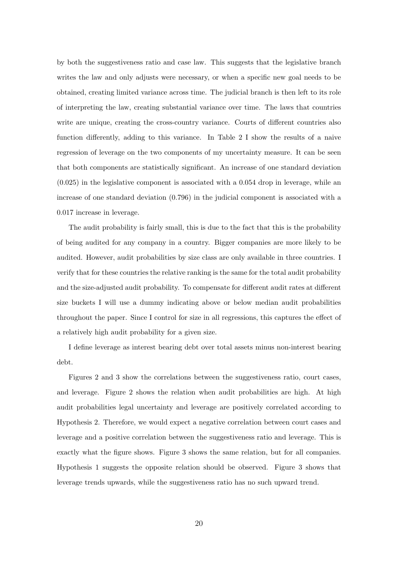by both the suggestiveness ratio and case law. This suggests that the legislative branch writes the law and only adjusts were necessary, or when a specific new goal needs to be obtained, creating limited variance across time. The judicial branch is then left to its role of interpreting the law, creating substantial variance over time. The laws that countries write are unique, creating the cross-country variance. Courts of different countries also function differently, adding to this variance. In Table 2 I show the results of a naive regression of leverage on the two components of my uncertainty measure. It can be seen that both components are statistically significant. An increase of one standard deviation (0.025) in the legislative component is associated with a 0.054 drop in leverage, while an increase of one standard deviation (0.796) in the judicial component is associated with a 0.017 increase in leverage.

The audit probability is fairly small, this is due to the fact that this is the probability of being audited for any company in a country. Bigger companies are more likely to be audited. However, audit probabilities by size class are only available in three countries. I verify that for these countries the relative ranking is the same for the total audit probability and the size-adjusted audit probability. To compensate for different audit rates at different size buckets I will use a dummy indicating above or below median audit probabilities throughout the paper. Since I control for size in all regressions, this captures the effect of a relatively high audit probability for a given size.

I define leverage as interest bearing debt over total assets minus non-interest bearing debt.

Figures 2 and 3 show the correlations between the suggestiveness ratio, court cases, and leverage. Figure 2 shows the relation when audit probabilities are high. At high audit probabilities legal uncertainty and leverage are positively correlated according to Hypothesis 2. Therefore, we would expect a negative correlation between court cases and leverage and a positive correlation between the suggestiveness ratio and leverage. This is exactly what the figure shows. Figure 3 shows the same relation, but for all companies. Hypothesis 1 suggests the opposite relation should be observed. Figure 3 shows that leverage trends upwards, while the suggestiveness ratio has no such upward trend.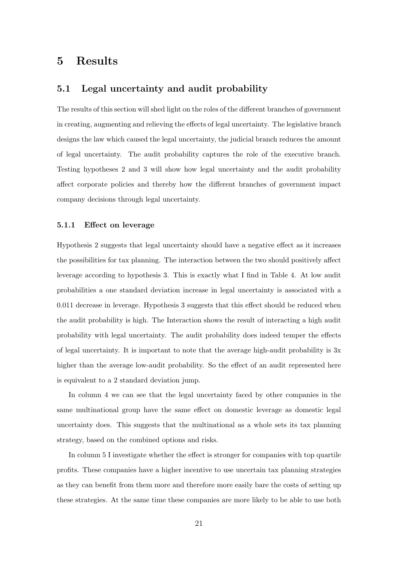# 5 Results

### 5.1 Legal uncertainty and audit probability

The results of this section will shed light on the roles of the different branches of government in creating, augmenting and relieving the effects of legal uncertainty. The legislative branch designs the law which caused the legal uncertainty, the judicial branch reduces the amount of legal uncertainty. The audit probability captures the role of the executive branch. Testing hypotheses 2 and 3 will show how legal uncertainty and the audit probability affect corporate policies and thereby how the different branches of government impact company decisions through legal uncertainty.

#### 5.1.1 Effect on leverage

Hypothesis 2 suggests that legal uncertainty should have a negative effect as it increases the possibilities for tax planning. The interaction between the two should positively affect leverage according to hypothesis 3. This is exactly what I find in Table 4. At low audit probabilities a one standard deviation increase in legal uncertainty is associated with a 0.011 decrease in leverage. Hypothesis 3 suggests that this effect should be reduced when the audit probability is high. The Interaction shows the result of interacting a high audit probability with legal uncertainty. The audit probability does indeed temper the effects of legal uncertainty. It is important to note that the average high-audit probability is 3x higher than the average low-audit probability. So the effect of an audit represented here is equivalent to a 2 standard deviation jump.

In column 4 we can see that the legal uncertainty faced by other companies in the same multinational group have the same effect on domestic leverage as domestic legal uncertainty does. This suggests that the multinational as a whole sets its tax planning strategy, based on the combined options and risks.

In column 5 I investigate whether the effect is stronger for companies with top quartile profits. These companies have a higher incentive to use uncertain tax planning strategies as they can benefit from them more and therefore more easily bare the costs of setting up these strategies. At the same time these companies are more likely to be able to use both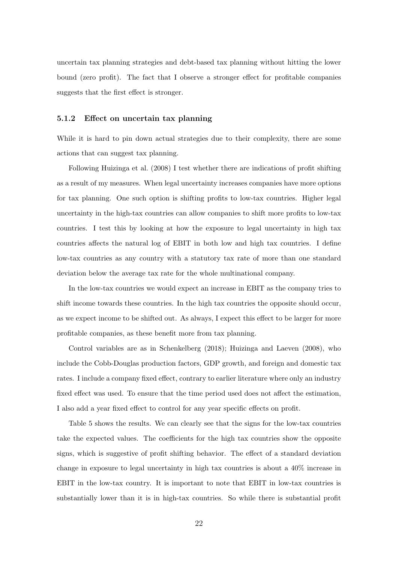uncertain tax planning strategies and debt-based tax planning without hitting the lower bound (zero profit). The fact that I observe a stronger effect for profitable companies suggests that the first effect is stronger.

#### 5.1.2 Effect on uncertain tax planning

While it is hard to pin down actual strategies due to their complexity, there are some actions that can suggest tax planning.

Following Huizinga et al. (2008) I test whether there are indications of profit shifting as a result of my measures. When legal uncertainty increases companies have more options for tax planning. One such option is shifting profits to low-tax countries. Higher legal uncertainty in the high-tax countries can allow companies to shift more profits to low-tax countries. I test this by looking at how the exposure to legal uncertainty in high tax countries affects the natural log of EBIT in both low and high tax countries. I define low-tax countries as any country with a statutory tax rate of more than one standard deviation below the average tax rate for the whole multinational company.

In the low-tax countries we would expect an increase in EBIT as the company tries to shift income towards these countries. In the high tax countries the opposite should occur, as we expect income to be shifted out. As always, I expect this effect to be larger for more profitable companies, as these benefit more from tax planning.

Control variables are as in Schenkelberg (2018); Huizinga and Laeven (2008), who include the Cobb-Douglas production factors, GDP growth, and foreign and domestic tax rates. I include a company fixed effect, contrary to earlier literature where only an industry fixed effect was used. To ensure that the time period used does not affect the estimation, I also add a year fixed effect to control for any year specific effects on profit.

Table 5 shows the results. We can clearly see that the signs for the low-tax countries take the expected values. The coefficients for the high tax countries show the opposite signs, which is suggestive of profit shifting behavior. The effect of a standard deviation change in exposure to legal uncertainty in high tax countries is about a 40% increase in EBIT in the low-tax country. It is important to note that EBIT in low-tax countries is substantially lower than it is in high-tax countries. So while there is substantial profit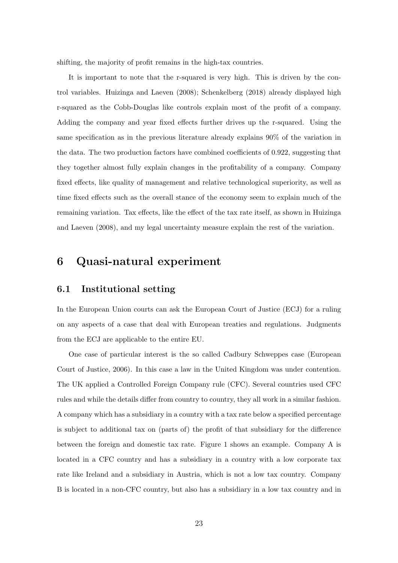shifting, the majority of profit remains in the high-tax countries.

It is important to note that the r-squared is very high. This is driven by the control variables. Huizinga and Laeven (2008); Schenkelberg (2018) already displayed high r-squared as the Cobb-Douglas like controls explain most of the profit of a company. Adding the company and year fixed effects further drives up the r-squared. Using the same specification as in the previous literature already explains 90% of the variation in the data. The two production factors have combined coefficients of 0.922, suggesting that they together almost fully explain changes in the profitability of a company. Company fixed effects, like quality of management and relative technological superiority, as well as time fixed effects such as the overall stance of the economy seem to explain much of the remaining variation. Tax effects, like the effect of the tax rate itself, as shown in Huizinga and Laeven (2008), and my legal uncertainty measure explain the rest of the variation.

# 6 Quasi-natural experiment

### 6.1 Institutional setting

In the European Union courts can ask the European Court of Justice (ECJ) for a ruling on any aspects of a case that deal with European treaties and regulations. Judgments from the ECJ are applicable to the entire EU.

One case of particular interest is the so called Cadbury Schweppes case (European Court of Justice, 2006). In this case a law in the United Kingdom was under contention. The UK applied a Controlled Foreign Company rule (CFC). Several countries used CFC rules and while the details differ from country to country, they all work in a similar fashion. A company which has a subsidiary in a country with a tax rate below a specified percentage is subject to additional tax on (parts of) the profit of that subsidiary for the difference between the foreign and domestic tax rate. Figure 1 shows an example. Company A is located in a CFC country and has a subsidiary in a country with a low corporate tax rate like Ireland and a subsidiary in Austria, which is not a low tax country. Company B is located in a non-CFC country, but also has a subsidiary in a low tax country and in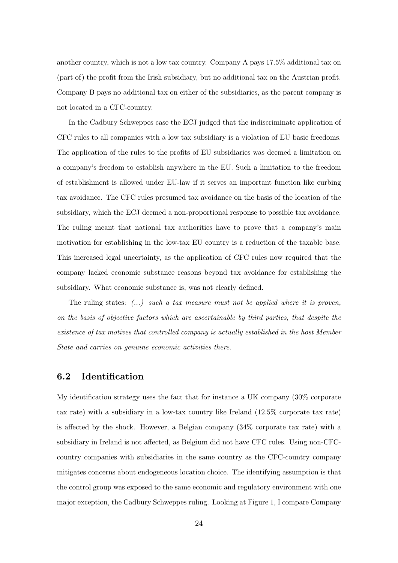another country, which is not a low tax country. Company A pays 17.5% additional tax on (part of) the profit from the Irish subsidiary, but no additional tax on the Austrian profit. Company B pays no additional tax on either of the subsidiaries, as the parent company is not located in a CFC-country.

In the Cadbury Schweppes case the ECJ judged that the indiscriminate application of CFC rules to all companies with a low tax subsidiary is a violation of EU basic freedoms. The application of the rules to the profits of EU subsidiaries was deemed a limitation on a company's freedom to establish anywhere in the EU. Such a limitation to the freedom of establishment is allowed under EU-law if it serves an important function like curbing tax avoidance. The CFC rules presumed tax avoidance on the basis of the location of the subsidiary, which the ECJ deemed a non-proportional response to possible tax avoidance. The ruling meant that national tax authorities have to prove that a company's main motivation for establishing in the low-tax EU country is a reduction of the taxable base. This increased legal uncertainty, as the application of CFC rules now required that the company lacked economic substance reasons beyond tax avoidance for establishing the subsidiary. What economic substance is, was not clearly defined.

The ruling states:  $(\ldots)$  such a tax measure must not be applied where it is proven, on the basis of objective factors which are ascertainable by third parties, that despite the existence of tax motives that controlled company is actually established in the host Member State and carries on genuine economic activities there.

# 6.2 Identification

My identification strategy uses the fact that for instance a UK company (30% corporate tax rate) with a subsidiary in a low-tax country like Ireland (12.5% corporate tax rate) is affected by the shock. However, a Belgian company (34% corporate tax rate) with a subsidiary in Ireland is not affected, as Belgium did not have CFC rules. Using non-CFCcountry companies with subsidiaries in the same country as the CFC-country company mitigates concerns about endogeneous location choice. The identifying assumption is that the control group was exposed to the same economic and regulatory environment with one major exception, the Cadbury Schweppes ruling. Looking at Figure 1, I compare Company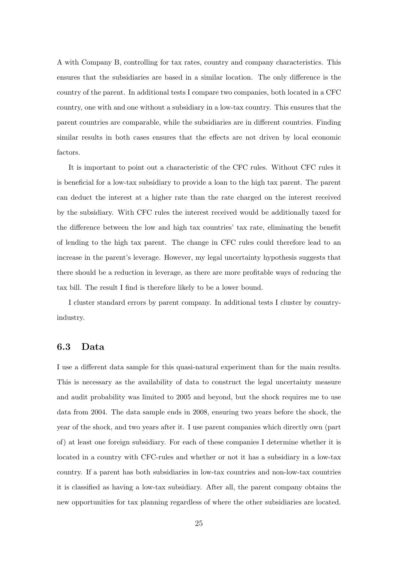A with Company B, controlling for tax rates, country and company characteristics. This ensures that the subsidiaries are based in a similar location. The only difference is the country of the parent. In additional tests I compare two companies, both located in a CFC country, one with and one without a subsidiary in a low-tax country. This ensures that the parent countries are comparable, while the subsidiaries are in different countries. Finding similar results in both cases ensures that the effects are not driven by local economic factors.

It is important to point out a characteristic of the CFC rules. Without CFC rules it is beneficial for a low-tax subsidiary to provide a loan to the high tax parent. The parent can deduct the interest at a higher rate than the rate charged on the interest received by the subsidiary. With CFC rules the interest received would be additionally taxed for the difference between the low and high tax countries' tax rate, eliminating the benefit of lending to the high tax parent. The change in CFC rules could therefore lead to an increase in the parent's leverage. However, my legal uncertainty hypothesis suggests that there should be a reduction in leverage, as there are more profitable ways of reducing the tax bill. The result I find is therefore likely to be a lower bound.

I cluster standard errors by parent company. In additional tests I cluster by countryindustry.

### 6.3 Data

I use a different data sample for this quasi-natural experiment than for the main results. This is necessary as the availability of data to construct the legal uncertainty measure and audit probability was limited to 2005 and beyond, but the shock requires me to use data from 2004. The data sample ends in 2008, ensuring two years before the shock, the year of the shock, and two years after it. I use parent companies which directly own (part of) at least one foreign subsidiary. For each of these companies I determine whether it is located in a country with CFC-rules and whether or not it has a subsidiary in a low-tax country. If a parent has both subsidiaries in low-tax countries and non-low-tax countries it is classified as having a low-tax subsidiary. After all, the parent company obtains the new opportunities for tax planning regardless of where the other subsidiaries are located.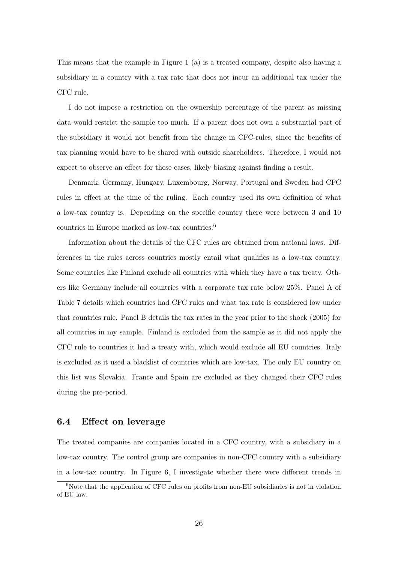This means that the example in Figure 1 (a) is a treated company, despite also having a subsidiary in a country with a tax rate that does not incur an additional tax under the CFC rule.

I do not impose a restriction on the ownership percentage of the parent as missing data would restrict the sample too much. If a parent does not own a substantial part of the subsidiary it would not benefit from the change in CFC-rules, since the benefits of tax planning would have to be shared with outside shareholders. Therefore, I would not expect to observe an effect for these cases, likely biasing against finding a result.

Denmark, Germany, Hungary, Luxembourg, Norway, Portugal and Sweden had CFC rules in effect at the time of the ruling. Each country used its own definition of what a low-tax country is. Depending on the specific country there were between 3 and 10 countries in Europe marked as low-tax countries.<sup>6</sup>

Information about the details of the CFC rules are obtained from national laws. Differences in the rules across countries mostly entail what qualifies as a low-tax country. Some countries like Finland exclude all countries with which they have a tax treaty. Others like Germany include all countries with a corporate tax rate below 25%. Panel A of Table 7 details which countries had CFC rules and what tax rate is considered low under that countries rule. Panel B details the tax rates in the year prior to the shock (2005) for all countries in my sample. Finland is excluded from the sample as it did not apply the CFC rule to countries it had a treaty with, which would exclude all EU countries. Italy is excluded as it used a blacklist of countries which are low-tax. The only EU country on this list was Slovakia. France and Spain are excluded as they changed their CFC rules during the pre-period.

### 6.4 Effect on leverage

The treated companies are companies located in a CFC country, with a subsidiary in a low-tax country. The control group are companies in non-CFC country with a subsidiary in a low-tax country. In Figure 6, I investigate whether there were different trends in

 $6N$ ote that the application of CFC rules on profits from non-EU subsidiaries is not in violation of EU law.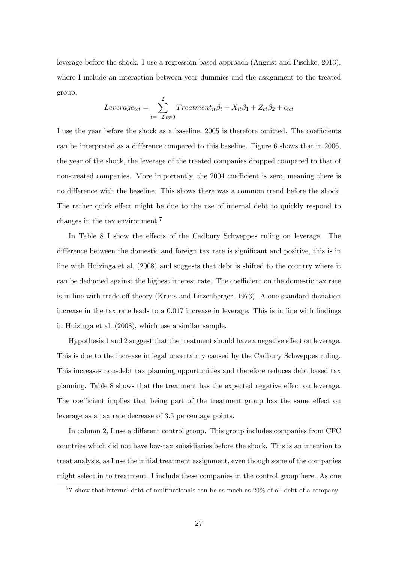leverage before the shock. I use a regression based approach (Angrist and Pischke, 2013), where I include an interaction between year dummies and the assignment to the treated group.

$$
Leverage_{ict} = \sum_{t=-2, t \neq 0}^{2} Treatment_{it} \beta_t + X_{it} \beta_1 + Z_{ct} \beta_2 + \epsilon_{ict}
$$

I use the year before the shock as a baseline, 2005 is therefore omitted. The coefficients can be interpreted as a difference compared to this baseline. Figure 6 shows that in 2006, the year of the shock, the leverage of the treated companies dropped compared to that of non-treated companies. More importantly, the 2004 coefficient is zero, meaning there is no difference with the baseline. This shows there was a common trend before the shock. The rather quick effect might be due to the use of internal debt to quickly respond to changes in the tax environment.<sup>7</sup>

In Table 8 I show the effects of the Cadbury Schweppes ruling on leverage. The difference between the domestic and foreign tax rate is significant and positive, this is in line with Huizinga et al. (2008) and suggests that debt is shifted to the country where it can be deducted against the highest interest rate. The coefficient on the domestic tax rate is in line with trade-off theory (Kraus and Litzenberger, 1973). A one standard deviation increase in the tax rate leads to a 0.017 increase in leverage. This is in line with findings in Huizinga et al. (2008), which use a similar sample.

Hypothesis 1 and 2 suggest that the treatment should have a negative effect on leverage. This is due to the increase in legal uncertainty caused by the Cadbury Schweppes ruling. This increases non-debt tax planning opportunities and therefore reduces debt based tax planning. Table 8 shows that the treatment has the expected negative effect on leverage. The coefficient implies that being part of the treatment group has the same effect on leverage as a tax rate decrease of 3.5 percentage points.

In column 2, I use a different control group. This group includes companies from CFC countries which did not have low-tax subsidiaries before the shock. This is an intention to treat analysis, as I use the initial treatment assignment, even though some of the companies might select in to treatment. I include these companies in the control group here. As one

<sup>7</sup>? show that internal debt of multinationals can be as much as 20% of all debt of a company.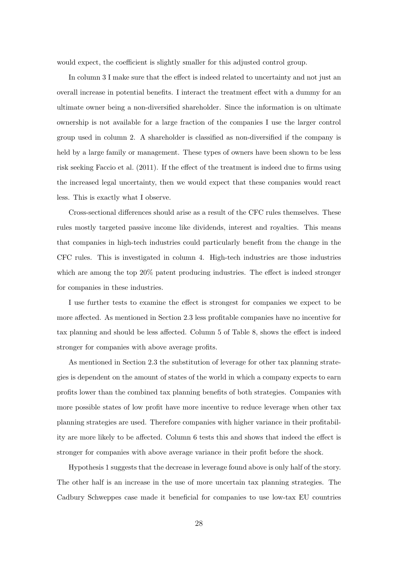would expect, the coefficient is slightly smaller for this adjusted control group.

In column 3 I make sure that the effect is indeed related to uncertainty and not just an overall increase in potential benefits. I interact the treatment effect with a dummy for an ultimate owner being a non-diversified shareholder. Since the information is on ultimate ownership is not available for a large fraction of the companies I use the larger control group used in column 2. A shareholder is classified as non-diversified if the company is held by a large family or management. These types of owners have been shown to be less risk seeking Faccio et al. (2011). If the effect of the treatment is indeed due to firms using the increased legal uncertainty, then we would expect that these companies would react less. This is exactly what I observe.

Cross-sectional differences should arise as a result of the CFC rules themselves. These rules mostly targeted passive income like dividends, interest and royalties. This means that companies in high-tech industries could particularly benefit from the change in the CFC rules. This is investigated in column 4. High-tech industries are those industries which are among the top 20% patent producing industries. The effect is indeed stronger for companies in these industries.

I use further tests to examine the effect is strongest for companies we expect to be more affected. As mentioned in Section 2.3 less profitable companies have no incentive for tax planning and should be less affected. Column 5 of Table 8, shows the effect is indeed stronger for companies with above average profits.

As mentioned in Section 2.3 the substitution of leverage for other tax planning strategies is dependent on the amount of states of the world in which a company expects to earn profits lower than the combined tax planning benefits of both strategies. Companies with more possible states of low profit have more incentive to reduce leverage when other tax planning strategies are used. Therefore companies with higher variance in their profitability are more likely to be affected. Column 6 tests this and shows that indeed the effect is stronger for companies with above average variance in their profit before the shock.

Hypothesis 1 suggests that the decrease in leverage found above is only half of the story. The other half is an increase in the use of more uncertain tax planning strategies. The Cadbury Schweppes case made it beneficial for companies to use low-tax EU countries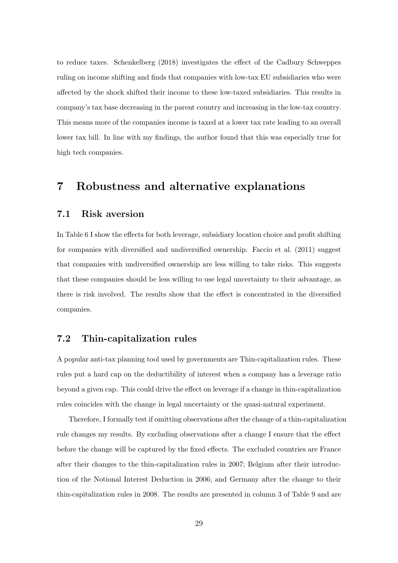to reduce taxes. Schenkelberg (2018) investigates the effect of the Cadbury Schweppes ruling on income shifting and finds that companies with low-tax EU subsidiaries who were affected by the shock shifted their income to these low-taxed subsidiaries. This results in company's tax base decreasing in the parent country and increasing in the low-tax country. This means more of the companies income is taxed at a lower tax rate leading to an overall lower tax bill. In line with my findings, the author found that this was especially true for high tech companies.

# 7 Robustness and alternative explanations

### 7.1 Risk aversion

In Table 6 I show the effects for both leverage, subsidiary location choice and profit shifting for companies with diversified and undiversified ownership. Faccio et al. (2011) suggest that companies with undiversified ownership are less willing to take risks. This suggests that these companies should be less willing to use legal uncertainty to their advantage, as there is risk involved. The results show that the effect is concentrated in the diversified companies.

### 7.2 Thin-capitalization rules

A popular anti-tax planning tool used by governments are Thin-capitalization rules. These rules put a hard cap on the deductibility of interest when a company has a leverage ratio beyond a given cap. This could drive the effect on leverage if a change in thin-capitalization rules coincides with the change in legal uncertainty or the quasi-natural experiment.

Therefore, I formally test if omitting observations after the change of a thin-capitalization rule changes my results. By excluding observations after a change I ensure that the effect before the change will be captured by the fixed effects. The excluded countries are France after their changes to the thin-capitalization rules in 2007; Belgium after their introduction of the Notional Interest Deduction in 2006; and Germany after the change to their thin-capitalization rules in 2008. The results are presented in column 3 of Table 9 and are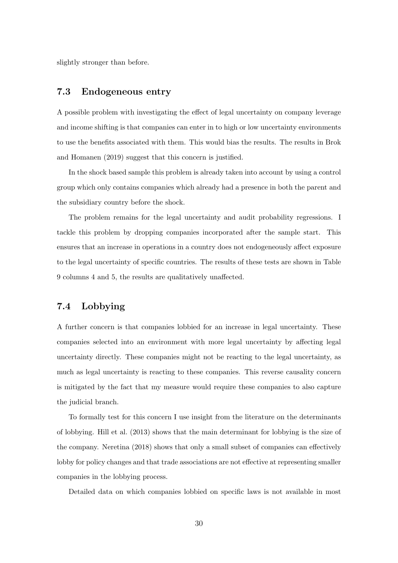slightly stronger than before.

# 7.3 Endogeneous entry

A possible problem with investigating the effect of legal uncertainty on company leverage and income shifting is that companies can enter in to high or low uncertainty environments to use the benefits associated with them. This would bias the results. The results in Brok and Homanen (2019) suggest that this concern is justified.

In the shock based sample this problem is already taken into account by using a control group which only contains companies which already had a presence in both the parent and the subsidiary country before the shock.

The problem remains for the legal uncertainty and audit probability regressions. I tackle this problem by dropping companies incorporated after the sample start. This ensures that an increase in operations in a country does not endogeneously affect exposure to the legal uncertainty of specific countries. The results of these tests are shown in Table 9 columns 4 and 5, the results are qualitatively unaffected.

# 7.4 Lobbying

A further concern is that companies lobbied for an increase in legal uncertainty. These companies selected into an environment with more legal uncertainty by affecting legal uncertainty directly. These companies might not be reacting to the legal uncertainty, as much as legal uncertainty is reacting to these companies. This reverse causality concern is mitigated by the fact that my measure would require these companies to also capture the judicial branch.

To formally test for this concern I use insight from the literature on the determinants of lobbying. Hill et al. (2013) shows that the main determinant for lobbying is the size of the company. Neretina (2018) shows that only a small subset of companies can effectively lobby for policy changes and that trade associations are not effective at representing smaller companies in the lobbying process.

Detailed data on which companies lobbied on specific laws is not available in most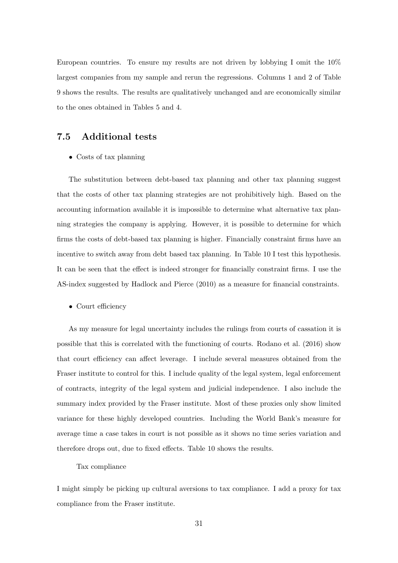European countries. To ensure my results are not driven by lobbying I omit the 10% largest companies from my sample and rerun the regressions. Columns 1 and 2 of Table 9 shows the results. The results are qualitatively unchanged and are economically similar to the ones obtained in Tables 5 and 4.

# 7.5 Additional tests

• Costs of tax planning

The substitution between debt-based tax planning and other tax planning suggest that the costs of other tax planning strategies are not prohibitively high. Based on the accounting information available it is impossible to determine what alternative tax planning strategies the company is applying. However, it is possible to determine for which firms the costs of debt-based tax planning is higher. Financially constraint firms have an incentive to switch away from debt based tax planning. In Table 10 I test this hypothesis. It can be seen that the effect is indeed stronger for financially constraint firms. I use the AS-index suggested by Hadlock and Pierce (2010) as a measure for financial constraints.

• Court efficiency

As my measure for legal uncertainty includes the rulings from courts of cassation it is possible that this is correlated with the functioning of courts. Rodano et al. (2016) show that court efficiency can affect leverage. I include several measures obtained from the Fraser institute to control for this. I include quality of the legal system, legal enforcement of contracts, integrity of the legal system and judicial independence. I also include the summary index provided by the Fraser institute. Most of these proxies only show limited variance for these highly developed countries. Including the World Bank's measure for average time a case takes in court is not possible as it shows no time series variation and therefore drops out, due to fixed effects. Table 10 shows the results.

### Tax compliance

I might simply be picking up cultural aversions to tax compliance. I add a proxy for tax compliance from the Fraser institute.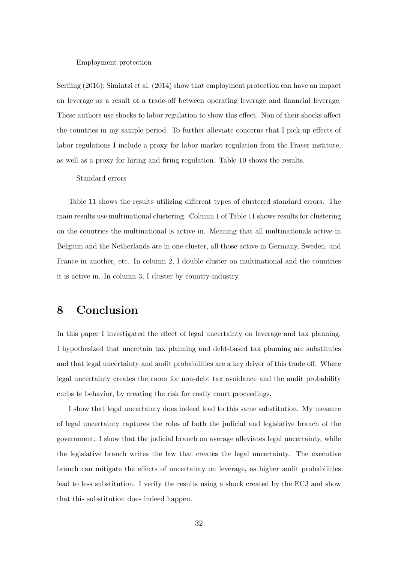#### Employment protection

Serfling (2016); Simintzi et al. (2014) show that employment protection can have an impact on leverage as a result of a trade-off between operating leverage and financial leverage. These authors use shocks to labor regulation to show this effect. Non of their shocks affect the countries in my sample period. To further alleviate concerns that I pick up effects of labor regulations I include a proxy for labor market regulation from the Fraser institute, as well as a proxy for hiring and firing regulation. Table 10 shows the results.

#### Standard errors

Table 11 shows the results utilizing different types of clustered standard errors. The main results use multinational clustering. Column 1 of Table 11 shows results for clustering on the countries the multinational is active in. Meaning that all multinationals active in Belgium and the Netherlands are in one cluster, all those active in Germany, Sweden, and France in another, etc. In column 2, I double cluster on multinational and the countries it is active in. In column 3, I cluster by country-industry.

# 8 Conclusion

In this paper I investigated the effect of legal uncertainty on leverage and tax planning. I hypothesized that uncertain tax planning and debt-based tax planning are substitutes and that legal uncertainty and audit probabilities are a key driver of this trade off. Where legal uncertainty creates the room for non-debt tax avoidance and the audit probability curbs te behavior, by creating the risk for costly court proceedings.

I show that legal uncertainty does indeed lead to this same substitution. My measure of legal uncertainty captures the roles of both the judicial and legislative branch of the government. I show that the judicial branch on average alleviates legal uncertainty, while the legislative branch writes the law that creates the legal uncertainty. The executive branch can mitigate the effects of uncertainty on leverage, as higher audit probabilities lead to less substitution. I verify the results using a shock created by the ECJ and show that this substitution does indeed happen.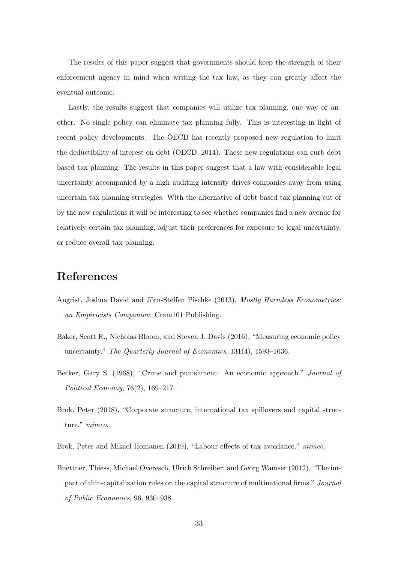The results of this paper suggest that governments should keep the strength of their enforcement agency in mind when writing the tax law, as they can greatly affect the eventual outcome.

Lastly, the results suggest that companies will utilize tax planning, one way or another. No single policy can eliminate tax planning fully. This is interesting in light of recent policy developments. The OECD has recently proposed new regulation to limit the deductibility of interest on debt (OECD, 2014). These new regulations can curb debt based tax planning. The results in this paper suggest that a law with considerable legal uncertainty accompanied by a high auditing intensity drives companies away from using uncertain tax planning strategies. With the alternative of debt based tax planning cut of by the new regulations it will be interesting to see whether companies find a new avenue for relatively certain tax planning, adjust their preferences for exposure to legal uncertainty, or reduce overall tax planning.

# References

- Angrist, Joshua David and Jörn-Steffen Pischke (2013), Mostly Harmless Econometrics: an Empiricists Companion. Cram101 Publishing.
- Baker, Scott R., Nicholas Bloom, and Steven J. Davis (2016), "Measuring economic policy uncertainty." The Quarterly Journal of Economics, 131(4), 1593–1636.
- Becker, Gary S. (1968), "Crime and punishment: An economic approach." Journal of Political Economy, 76(2), 169–217.
- Brok, Peter (2018), "Corporate structure, international tax spillovers and capital structure." mimeo.
- Brok, Peter and Mikael Homanen (2019), "Labour effects of tax avoidance." mimeo.
- Buettner, Thiess, Michael Overesch, Ulrich Schreiber, and Georg Wamser (2012), "The impact of thin-capitalization rules on the capital structure of multinational firms." Journal of Public Economics, 96, 930–938.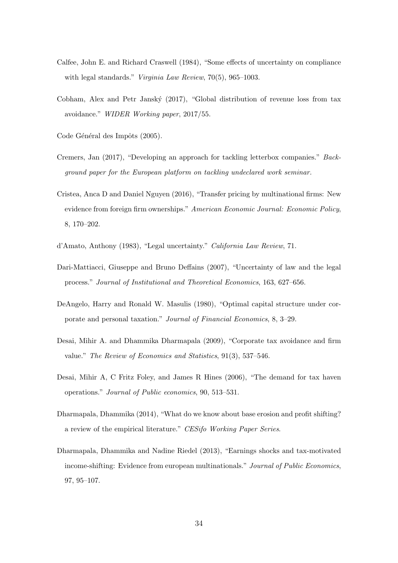- Calfee, John E. and Richard Craswell (1984), "Some effects of uncertainty on compliance with legal standards." *Virginia Law Review*, 70(5), 965–1003.
- Cobham, Alex and Petr Janský (2017), "Global distribution of revenue loss from tax avoidance." WIDER Working paper, 2017/55.

Code Général des Impôts (2005).

- Cremers, Jan (2017), "Developing an approach for tackling letterbox companies." Background paper for the European platform on tackling undeclared work seminar.
- Cristea, Anca D and Daniel Nguyen (2016), "Transfer pricing by multinational firms: New evidence from foreign firm ownerships." American Economic Journal: Economic Policy, 8, 170–202.
- d'Amato, Anthony (1983), "Legal uncertainty." California Law Review, 71.
- Dari-Mattiacci, Giuseppe and Bruno Deffains (2007), "Uncertainty of law and the legal process." Journal of Institutional and Theoretical Economics, 163, 627–656.
- DeAngelo, Harry and Ronald W. Masulis (1980), "Optimal capital structure under corporate and personal taxation." Journal of Financial Economics, 8, 3–29.
- Desai, Mihir A. and Dhammika Dharmapala (2009), "Corporate tax avoidance and firm value." The Review of Economics and Statistics, 91(3), 537–546.
- Desai, Mihir A, C Fritz Foley, and James R Hines (2006), "The demand for tax haven operations." Journal of Public economics, 90, 513–531.
- Dharmapala, Dhammika (2014), "What do we know about base erosion and profit shifting? a review of the empirical literature." CESifo Working Paper Series.
- Dharmapala, Dhammika and Nadine Riedel (2013), "Earnings shocks and tax-motivated income-shifting: Evidence from european multinationals." Journal of Public Economics, 97, 95–107.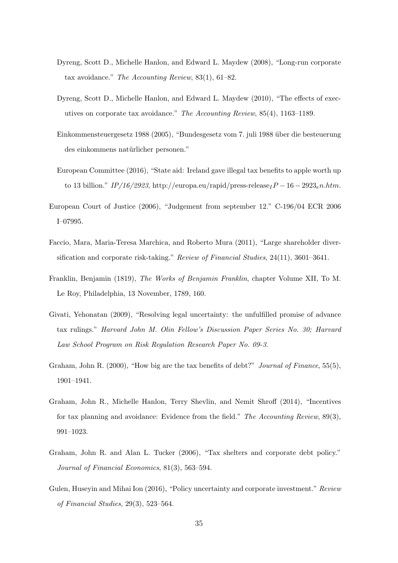- Dyreng, Scott D., Michelle Hanlon, and Edward L. Maydew (2008), "Long-run corporate tax avoidance." The Accounting Review, 83(1), 61–82.
- Dyreng, Scott D., Michelle Hanlon, and Edward L. Maydew (2010), "The effects of executives on corporate tax avoidance." The Accounting Review, 85(4), 1163–1189.
- Einkommensteuergesetz 1988 (2005), "Bundesgesetz vom 7. juli 1988 ¨uber die besteuerung des einkommens natürlicher personen."
- European Committee (2016), "State aid: Ireland gave illegal tax benefits to apple worth up to 13 billion."  $IP/16/2923$ , http://europa.eu/rapid/press-release $IP-16-2923e$ n.htm.
- European Court of Justice (2006), "Judgement from september 12." C-196/04 ECR 2006 I–07995.
- Faccio, Mara, Maria-Teresa Marchica, and Roberto Mura (2011), "Large shareholder diversification and corporate risk-taking." Review of Financial Studies, 24(11), 3601–3641.
- Franklin, Benjamin (1819), The Works of Benjamin Franklin, chapter Volume XII, To M. Le Roy, Philadelphia, 13 November, 1789, 160.
- Givati, Yehonatan (2009), "Resolving legal uncertainty: the unfulfilled promise of advance tax rulings." Harvard John M. Olin Fellow's Discussion Paper Series No. 30; Harvard Law School Program on Risk Regulation Research Paper No. 09-3.
- Graham, John R. (2000), "How big are the tax benefits of debt?" Journal of Finance, 55(5), 1901–1941.
- Graham, John R., Michelle Hanlon, Terry Shevlin, and Nemit Shroff (2014), "Incentives for tax planning and avoidance: Evidence from the field." The Accounting Review,  $89(3)$ , 991–1023.
- Graham, John R. and Alan L. Tucker (2006), "Tax shelters and corporate debt policy." Journal of Financial Economics, 81(3), 563–594.
- Gulen, Huseyin and Mihai Ion (2016), "Policy uncertainty and corporate investment." Review of Financial Studies, 29(3), 523–564.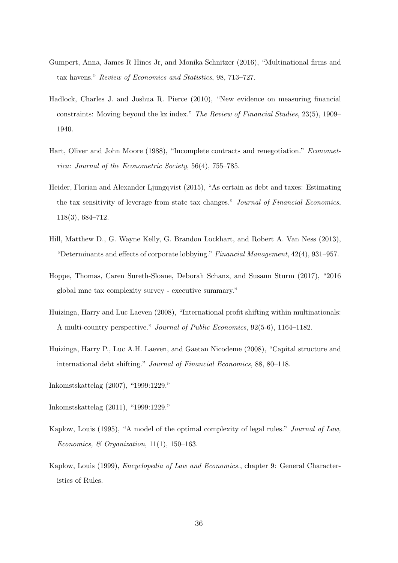- Gumpert, Anna, James R Hines Jr, and Monika Schnitzer (2016), "Multinational firms and tax havens." Review of Economics and Statistics, 98, 713–727.
- Hadlock, Charles J. and Joshua R. Pierce (2010), "New evidence on measuring financial constraints: Moving beyond the kz index." The Review of Financial Studies, 23(5), 1909– 1940.
- Hart, Oliver and John Moore (1988), "Incomplete contracts and renegotiation." Econometrica: Journal of the Econometric Society, 56(4), 755–785.
- Heider, Florian and Alexander Ljungqvist (2015), "As certain as debt and taxes: Estimating the tax sensitivity of leverage from state tax changes." Journal of Financial Economics, 118(3), 684–712.
- Hill, Matthew D., G. Wayne Kelly, G. Brandon Lockhart, and Robert A. Van Ness (2013), "Determinants and effects of corporate lobbying." Financial Management, 42(4), 931–957.
- Hoppe, Thomas, Caren Sureth-Sloane, Deborah Schanz, and Susann Sturm (2017), "2016 global mnc tax complexity survey - executive summary."
- Huizinga, Harry and Luc Laeven (2008), "International profit shifting within multinationals: A multi-country perspective." Journal of Public Economics, 92(5-6), 1164–1182.
- Huizinga, Harry P., Luc A.H. Laeven, and Gaetan Nicodeme (2008), "Capital structure and international debt shifting." Journal of Financial Economics, 88, 80–118.

Inkomstskattelag (2007), "1999:1229."

- Inkomstskattelag (2011), "1999:1229."
- Kaplow, Louis (1995), "A model of the optimal complexity of legal rules." Journal of Law, Economics, & Organization,  $11(1)$ ,  $150-163$ .
- Kaplow, Louis (1999), Encyclopedia of Law and Economics., chapter 9: General Characteristics of Rules.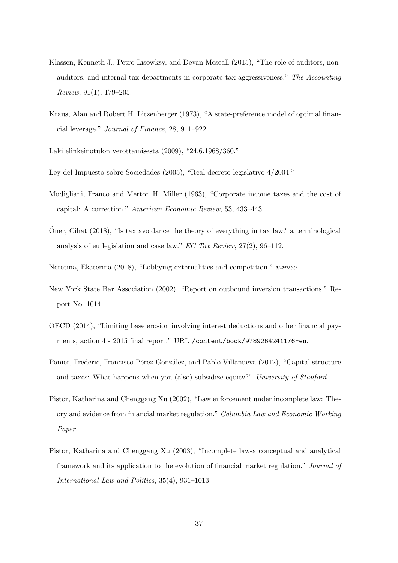- Klassen, Kenneth J., Petro Lisowksy, and Devan Mescall (2015), "The role of auditors, nonauditors, and internal tax departments in corporate tax aggressiveness." The Accounting Review, 91(1), 179–205.
- Kraus, Alan and Robert H. Litzenberger (1973), "A state-preference model of optimal financial leverage." Journal of Finance, 28, 911–922.
- Laki elinkeinotulon verottamisesta (2009), "24.6.1968/360."
- Ley del Impuesto sobre Sociedades (2005), "Real decreto legislativo 4/2004."
- Modigliani, Franco and Merton H. Miller (1963), "Corporate income taxes and the cost of capital: A correction." American Economic Review, 53, 433–443.
- Oner, Cihat  $(2018)$ , "Is tax avoidance the theory of everything in tax law? a terminological analysis of eu legislation and case law." EC Tax Review, 27(2), 96–112.
- Neretina, Ekaterina (2018), "Lobbying externalities and competition." mimeo.
- New York State Bar Association (2002), "Report on outbound inversion transactions." Report No. 1014.
- OECD (2014), "Limiting base erosion involving interest deductions and other financial payments, action 4 - 2015 final report." URL /content/book/9789264241176-en.
- Panier, Frederic, Francisco Pérez-González, and Pablo Villanueva (2012), "Capital structure and taxes: What happens when you (also) subsidize equity?" University of Stanford.
- Pistor, Katharina and Chenggang Xu (2002), "Law enforcement under incomplete law: Theory and evidence from financial market regulation." Columbia Law and Economic Working Paper.
- Pistor, Katharina and Chenggang Xu (2003), "Incomplete law-a conceptual and analytical framework and its application to the evolution of financial market regulation." Journal of International Law and Politics, 35(4), 931–1013.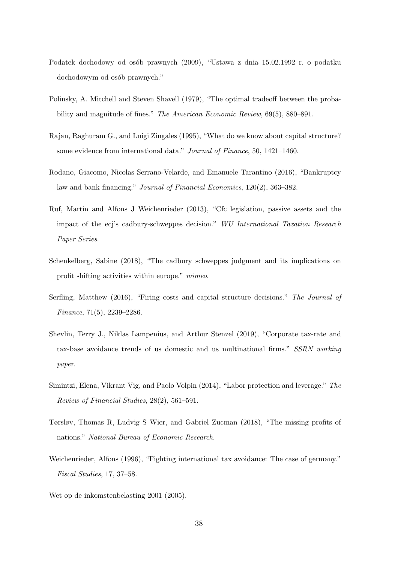- Podatek dochodowy od osób prawnych (2009), "Ustawa z dnia 15.02.1992 r. o podatku dochodowym od osób prawnych."
- Polinsky, A. Mitchell and Steven Shavell (1979), "The optimal tradeoff between the probability and magnitude of fines." The American Economic Review, 69(5), 880–891.
- Rajan, Raghuram G., and Luigi Zingales (1995), "What do we know about capital structure? some evidence from international data." Journal of Finance, 50, 1421–1460.
- Rodano, Giacomo, Nicolas Serrano-Velarde, and Emanuele Tarantino (2016), "Bankruptcy law and bank financing." Journal of Financial Economics, 120(2), 363–382.
- Ruf, Martin and Alfons J Weichenrieder (2013), "Cfc legislation, passive assets and the impact of the ecj's cadbury-schweppes decision." WU International Taxation Research Paper Series.
- Schenkelberg, Sabine (2018), "The cadbury schweppes judgment and its implications on profit shifting activities within europe." mimeo.
- Serfling, Matthew (2016), "Firing costs and capital structure decisions." The Journal of Finance, 71(5), 2239–2286.
- Shevlin, Terry J., Niklas Lampenius, and Arthur Stenzel (2019), "Corporate tax-rate and tax-base avoidance trends of us domestic and us multinational firms." SSRN working paper.
- Simintzi, Elena, Vikrant Vig, and Paolo Volpin (2014), "Labor protection and leverage." The Review of Financial Studies, 28(2), 561–591.
- Tørsløv, Thomas R, Ludvig S Wier, and Gabriel Zucman (2018), "The missing profits of nations." National Bureau of Economic Research.
- Weichenrieder, Alfons (1996), "Fighting international tax avoidance: The case of germany." Fiscal Studies, 17, 37–58.
- Wet op de inkomstenbelasting 2001 (2005).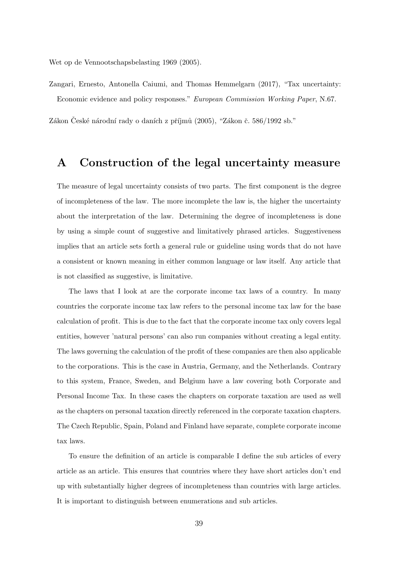Wet op de Vennootschapsbelasting 1969 (2005).

Zangari, Ernesto, Antonella Caiumi, and Thomas Hemmelgarn (2017), "Tax uncertainty: Economic evidence and policy responses." European Commission Working Paper, N.67.

Zákon České národní rady o daních z příjmů (2005), "Zákon č. 586/1992 sb."

# A Construction of the legal uncertainty measure

The measure of legal uncertainty consists of two parts. The first component is the degree of incompleteness of the law. The more incomplete the law is, the higher the uncertainty about the interpretation of the law. Determining the degree of incompleteness is done by using a simple count of suggestive and limitatively phrased articles. Suggestiveness implies that an article sets forth a general rule or guideline using words that do not have a consistent or known meaning in either common language or law itself. Any article that is not classified as suggestive, is limitative.

The laws that I look at are the corporate income tax laws of a country. In many countries the corporate income tax law refers to the personal income tax law for the base calculation of profit. This is due to the fact that the corporate income tax only covers legal entities, however 'natural persons' can also run companies without creating a legal entity. The laws governing the calculation of the profit of these companies are then also applicable to the corporations. This is the case in Austria, Germany, and the Netherlands. Contrary to this system, France, Sweden, and Belgium have a law covering both Corporate and Personal Income Tax. In these cases the chapters on corporate taxation are used as well as the chapters on personal taxation directly referenced in the corporate taxation chapters. The Czech Republic, Spain, Poland and Finland have separate, complete corporate income tax laws.

To ensure the definition of an article is comparable I define the sub articles of every article as an article. This ensures that countries where they have short articles don't end up with substantially higher degrees of incompleteness than countries with large articles. It is important to distinguish between enumerations and sub articles.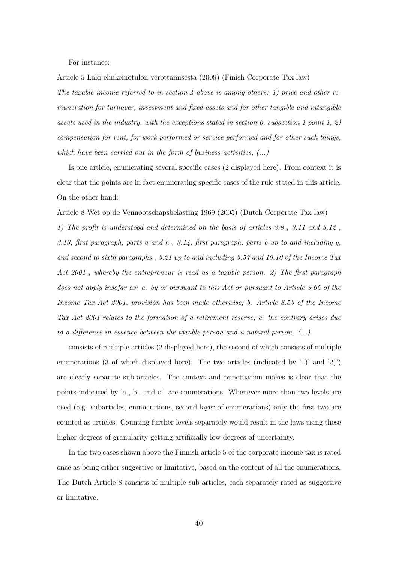For instance:

Article 5 Laki elinkeinotulon verottamisesta (2009) (Finish Corporate Tax law)

The taxable income referred to in section 4 above is among others: 1) price and other remuneration for turnover, investment and fixed assets and for other tangible and intangible assets used in the industry, with the exceptions stated in section 6, subsection 1 point 1, 2) compensation for rent, for work performed or service performed and for other such things, which have been carried out in the form of business activities,  $(...)$ 

Is one article, enumerating several specific cases (2 displayed here). From context it is clear that the points are in fact enumerating specific cases of the rule stated in this article. On the other hand:

Article 8 Wet op de Vennootschapsbelasting 1969 (2005) (Dutch Corporate Tax law)

1) The profit is understood and determined on the basis of articles 3.8 , 3.11 and 3.12 , 3.13, first paragraph, parts a and h, 3.14, first paragraph, parts b up to and including g, and second to sixth paragraphs , 3.21 up to and including 3.57 and 10.10 of the Income Tax Act 2001, whereby the entrepreneur is read as a taxable person. 2) The first paragraph does not apply insofar as: a. by or pursuant to this Act or pursuant to Article 3.65 of the Income Tax Act 2001, provision has been made otherwise; b. Article 3.53 of the Income Tax Act 2001 relates to the formation of a retirement reserve; c. the contrary arises due to a difference in essence between the taxable person and a natural person. (...)

consists of multiple articles (2 displayed here), the second of which consists of multiple enumerations (3 of which displayed here). The two articles (indicated by '1)' and '2)' are clearly separate sub-articles. The context and punctuation makes is clear that the points indicated by 'a., b., and c.' are enumerations. Whenever more than two levels are used (e.g. subarticles, enumerations, second layer of enumerations) only the first two are counted as articles. Counting further levels separately would result in the laws using these higher degrees of granularity getting artificially low degrees of uncertainty.

In the two cases shown above the Finnish article 5 of the corporate income tax is rated once as being either suggestive or limitative, based on the content of all the enumerations. The Dutch Article 8 consists of multiple sub-articles, each separately rated as suggestive or limitative.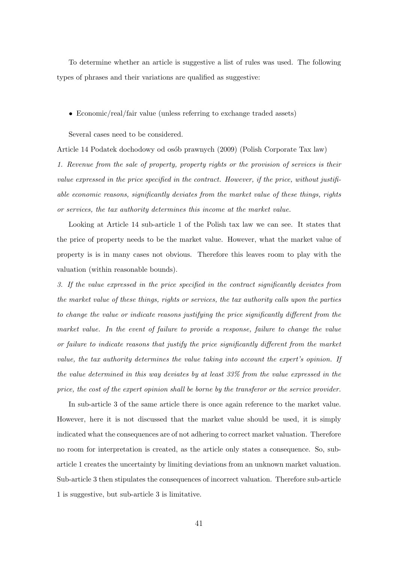To determine whether an article is suggestive a list of rules was used. The following types of phrases and their variations are qualified as suggestive:

• Economic/real/fair value (unless referring to exchange traded assets)

Several cases need to be considered.

Article 14 Podatek dochodowy od os´ob prawnych (2009) (Polish Corporate Tax law)

1. Revenue from the sale of property, property rights or the provision of services is their value expressed in the price specified in the contract. However, if the price, without justifiable economic reasons, significantly deviates from the market value of these things, rights or services, the tax authority determines this income at the market value.

Looking at Article 14 sub-article 1 of the Polish tax law we can see. It states that the price of property needs to be the market value. However, what the market value of property is is in many cases not obvious. Therefore this leaves room to play with the valuation (within reasonable bounds).

3. If the value expressed in the price specified in the contract significantly deviates from the market value of these things, rights or services, the tax authority calls upon the parties to change the value or indicate reasons justifying the price significantly different from the market value. In the event of failure to provide a response, failure to change the value or failure to indicate reasons that justify the price significantly different from the market value, the tax authority determines the value taking into account the expert's opinion. If the value determined in this way deviates by at least 33% from the value expressed in the price, the cost of the expert opinion shall be borne by the transferor or the service provider.

In sub-article 3 of the same article there is once again reference to the market value. However, here it is not discussed that the market value should be used, it is simply indicated what the consequences are of not adhering to correct market valuation. Therefore no room for interpretation is created, as the article only states a consequence. So, subarticle 1 creates the uncertainty by limiting deviations from an unknown market valuation. Sub-article 3 then stipulates the consequences of incorrect valuation. Therefore sub-article 1 is suggestive, but sub-article 3 is limitative.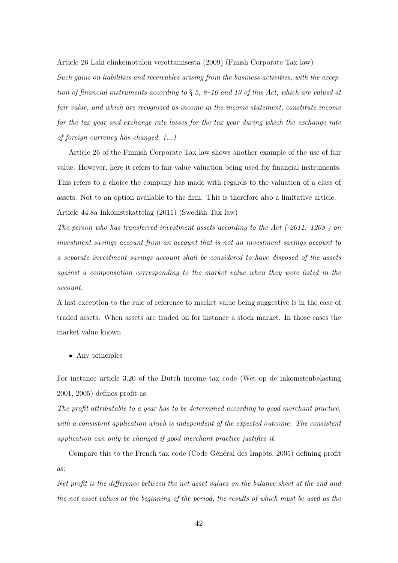Article 26 Laki elinkeinotulon verottamisesta (2009) (Finish Corporate Tax law)

Such gains on liabilities and receivables arising from the business activities, with the exception of financial instruments according to  $\S$  5, 8-10 and 13 of this Act, which are valued at fair value, and which are recognized as income in the income statement, constitute income for the tax year and exchange rate losses for the tax year during which the exchange rate of foreign currency has changed. (...)

Article 26 of the Finnish Corporate Tax law shows another example of the use of fair value. However, here it refers to fair value valuation being used for financial instruments. This refers to a choice the company has made with regards to the valuation of a class of assets. Not to an option available to the firm. This is therefore also a limitative article. Article 44.8a Inkomstskattelag (2011) (Swedish Tax law)

The person who has transferred investment assets according to the Act ( 2011: 1268 ) on investment savings account from an account that is not an investment savings account to a separate investment savings account shall be considered to have disposed of the assets against a compensation corresponding to the market value when they were listed in the account.

A last exception to the rule of reference to market value being suggestive is in the case of traded assets. When assets are traded on for instance a stock market. In those cases the market value known.

• Any principles

For instance article 3.20 of the Dutch income tax code (Wet op de inkomstenbelasting 2001, 2005) defines profit as:

The profit attributable to a year has to be determined according to good merchant practice, with a consistent application which is independent of the expected outcome. The consistent application can only be changed if good merchant practice justifies it.

Compare this to the French tax code (Code Général des Impôts, 2005) defining profit as:

Net profit is the difference between the net asset values on the balance sheet at the end and the net asset values at the beginning of the period, the results of which must be used as the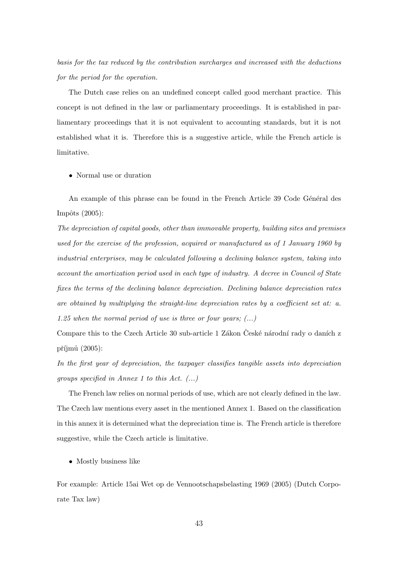basis for the tax reduced by the contribution surcharges and increased with the deductions for the period for the operation.

The Dutch case relies on an undefined concept called good merchant practice. This concept is not defined in the law or parliamentary proceedings. It is established in parliamentary proceedings that it is not equivalent to accounting standards, but it is not established what it is. Therefore this is a suggestive article, while the French article is limitative.

#### • Normal use or duration

An example of this phrase can be found in the French Article 39 Code Général des  $Impôts (2005):$ 

The depreciation of capital goods, other than immovable property, building sites and premises used for the exercise of the profession, acquired or manufactured as of 1 January 1960 by industrial enterprises, may be calculated following a declining balance system, taking into account the amortization period used in each type of industry. A decree in Council of State fixes the terms of the declining balance depreciation. Declining balance depreciation rates are obtained by multiplying the straight-line depreciation rates by a coefficient set at: a. 1.25 when the normal period of use is three or four years;  $(...)$ 

Compare this to the Czech Article 30 sub-article 1 Zákon České národní rady o daních z příjmů  $(2005)$ :

In the first year of depreciation, the taxpayer classifies tangible assets into depreciation groups specified in Annex 1 to this Act. (...)

The French law relies on normal periods of use, which are not clearly defined in the law. The Czech law mentions every asset in the mentioned Annex 1. Based on the classification in this annex it is determined what the depreciation time is. The French article is therefore suggestive, while the Czech article is limitative.

• Mostly business like

For example: Article 15ai Wet op de Vennootschapsbelasting 1969 (2005) (Dutch Corporate Tax law)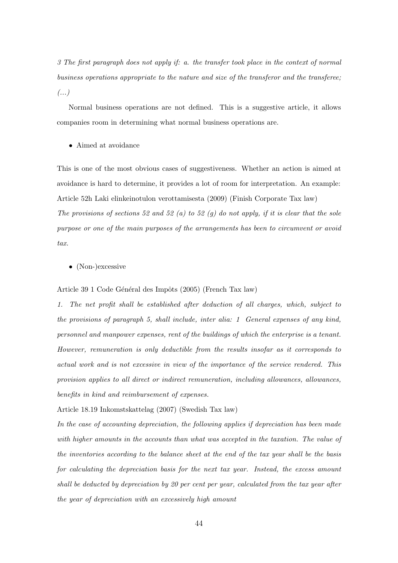3 The first paragraph does not apply if: a. the transfer took place in the context of normal business operations appropriate to the nature and size of the transferor and the transferee;  $(\dots)$ 

Normal business operations are not defined. This is a suggestive article, it allows companies room in determining what normal business operations are.

• Aimed at avoidance

This is one of the most obvious cases of suggestiveness. Whether an action is aimed at avoidance is hard to determine, it provides a lot of room for interpretation. An example: Article 52h Laki elinkeinotulon verottamisesta (2009) (Finish Corporate Tax law) The provisions of sections 52 and 52 (a) to 52 (g) do not apply, if it is clear that the sole purpose or one of the main purposes of the arrangements has been to circumvent or avoid tax.

• (Non-)excessive

Article 39 1 Code Général des Impôts (2005) (French Tax law)

1. The net profit shall be established after deduction of all charges, which, subject to the provisions of paragraph 5, shall include, inter alia: 1 General expenses of any kind, personnel and manpower expenses, rent of the buildings of which the enterprise is a tenant. However, remuneration is only deductible from the results insofar as it corresponds to actual work and is not excessive in view of the importance of the service rendered. This provision applies to all direct or indirect remuneration, including allowances, allowances, benefits in kind and reimbursement of expenses.

Article 18.19 Inkomstskattelag (2007) (Swedish Tax law)

In the case of accounting depreciation, the following applies if depreciation has been made with higher amounts in the accounts than what was accepted in the taxation. The value of the inventories according to the balance sheet at the end of the tax year shall be the basis for calculating the depreciation basis for the next tax year. Instead, the excess amount shall be deducted by depreciation by 20 per cent per year, calculated from the tax year after the year of depreciation with an excessively high amount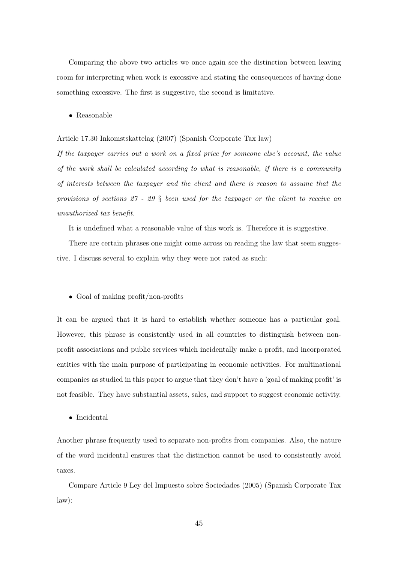Comparing the above two articles we once again see the distinction between leaving room for interpreting when work is excessive and stating the consequences of having done something excessive. The first is suggestive, the second is limitative.

• Reasonable

Article 17.30 Inkomstskattelag (2007) (Spanish Corporate Tax law)

If the taxpayer carries out a work on a fixed price for someone else's account, the value of the work shall be calculated according to what is reasonable, if there is a community of interests between the taxpayer and the client and there is reason to assume that the provisions of sections  $27 - 29$  § been used for the taxpayer or the client to receive an unauthorized tax benefit.

It is undefined what a reasonable value of this work is. Therefore it is suggestive.

There are certain phrases one might come across on reading the law that seem suggestive. I discuss several to explain why they were not rated as such:

#### • Goal of making profit/non-profits

It can be argued that it is hard to establish whether someone has a particular goal. However, this phrase is consistently used in all countries to distinguish between nonprofit associations and public services which incidentally make a profit, and incorporated entities with the main purpose of participating in economic activities. For multinational companies as studied in this paper to argue that they don't have a 'goal of making profit' is not feasible. They have substantial assets, sales, and support to suggest economic activity.

• Incidental

Another phrase frequently used to separate non-profits from companies. Also, the nature of the word incidental ensures that the distinction cannot be used to consistently avoid taxes.

Compare Article 9 Ley del Impuesto sobre Sociedades (2005) (Spanish Corporate Tax law):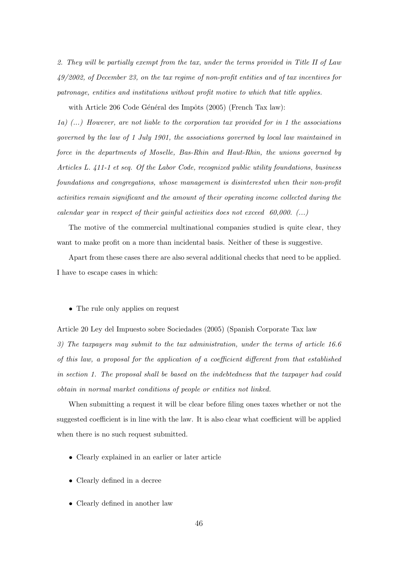2. They will be partially exempt from the tax, under the terms provided in Title II of Law 49/2002, of December 23, on the tax regime of non-profit entities and of tax incentives for patronage, entities and institutions without profit motive to which that title applies.

with Article 206 Code Général des Impôts (2005) (French Tax law):

1a)  $(...)$  However, are not liable to the corporation tax provided for in 1 the associations governed by the law of 1 July 1901, the associations governed by local law maintained in force in the departments of Moselle, Bas-Rhin and Haut-Rhin, the unions governed by Articles L. 411-1 et seq. Of the Labor Code, recognized public utility foundations, business foundations and congregations, whose management is disinterested when their non-profit activities remain significant and the amount of their operating income collected during the calendar year in respect of their gainful activities does not exceed  $60,000$ . (...)

The motive of the commercial multinational companies studied is quite clear, they want to make profit on a more than incidental basis. Neither of these is suggestive.

Apart from these cases there are also several additional checks that need to be applied. I have to escape cases in which:

• The rule only applies on request

Article 20 Ley del Impuesto sobre Sociedades (2005) (Spanish Corporate Tax law 3) The taxpayers may submit to the tax administration, under the terms of article 16.6 of this law, a proposal for the application of a coefficient different from that established in section 1. The proposal shall be based on the indebtedness that the taxpayer had could obtain in normal market conditions of people or entities not linked.

When submitting a request it will be clear before filing ones taxes whether or not the suggested coefficient is in line with the law. It is also clear what coefficient will be applied when there is no such request submitted.

- Clearly explained in an earlier or later article
- Clearly defined in a decree
- Clearly defined in another law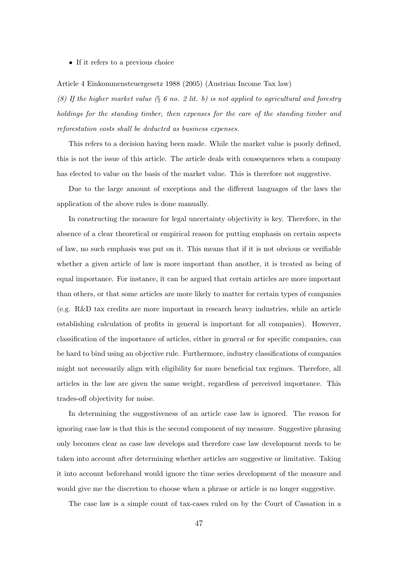• If it refers to a previous choice

Article 4 Einkommensteuergesetz 1988 (2005) (Austrian Income Tax law)

(8) If the higher market value  $(\S$  6 no. 2 lit. b) is not applied to agricultural and forestry holdings for the standing timber, then expenses for the care of the standing timber and reforestation costs shall be deducted as business expenses.

This refers to a decision having been made. While the market value is poorly defined, this is not the issue of this article. The article deals with consequences when a company has elected to value on the basis of the market value. This is therefore not suggestive.

Due to the large amount of exceptions and the different languages of the laws the application of the above rules is done manually.

In constructing the measure for legal uncertainty objectivity is key. Therefore, in the absence of a clear theoretical or empirical reason for putting emphasis on certain aspects of law, no such emphasis was put on it. This means that if it is not obvious or verifiable whether a given article of law is more important than another, it is treated as being of equal importance. For instance, it can be argued that certain articles are more important than others, or that some articles are more likely to matter for certain types of companies (e.g. R&D tax credits are more important in research heavy industries, while an article establishing calculation of profits in general is important for all companies). However, classification of the importance of articles, either in general or for specific companies, can be hard to bind using an objective rule. Furthermore, industry classifications of companies might not necessarily align with eligibility for more beneficial tax regimes. Therefore, all articles in the law are given the same weight, regardless of perceived importance. This trades-off objectivity for noise.

In determining the suggestiveness of an article case law is ignored. The reason for ignoring case law is that this is the second component of my measure. Suggestive phrasing only becomes clear as case law develops and therefore case law development needs to be taken into account after determining whether articles are suggestive or limitative. Taking it into account beforehand would ignore the time series development of the measure and would give me the discretion to choose when a phrase or article is no longer suggestive.

The case law is a simple count of tax-cases ruled on by the Court of Cassation in a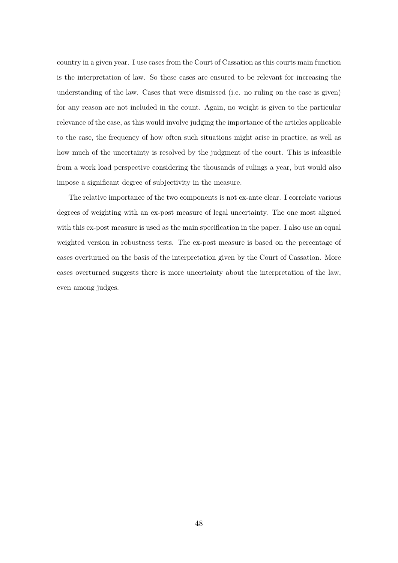country in a given year. I use cases from the Court of Cassation as this courts main function is the interpretation of law. So these cases are ensured to be relevant for increasing the understanding of the law. Cases that were dismissed (i.e. no ruling on the case is given) for any reason are not included in the count. Again, no weight is given to the particular relevance of the case, as this would involve judging the importance of the articles applicable to the case, the frequency of how often such situations might arise in practice, as well as how much of the uncertainty is resolved by the judgment of the court. This is infeasible from a work load perspective considering the thousands of rulings a year, but would also impose a significant degree of subjectivity in the measure.

The relative importance of the two components is not ex-ante clear. I correlate various degrees of weighting with an ex-post measure of legal uncertainty. The one most aligned with this ex-post measure is used as the main specification in the paper. I also use an equal weighted version in robustness tests. The ex-post measure is based on the percentage of cases overturned on the basis of the interpretation given by the Court of Cassation. More cases overturned suggests there is more uncertainty about the interpretation of the law, even among judges.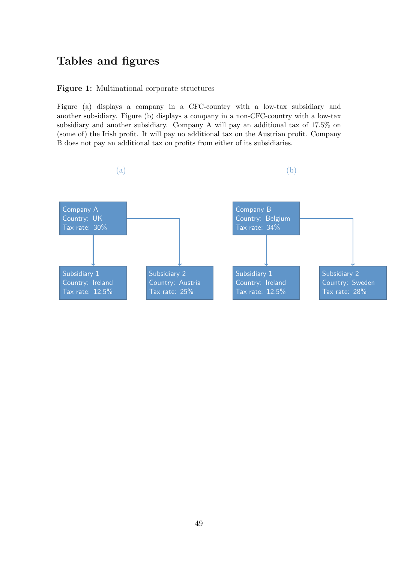# Tables and figures

### Figure 1: Multinational corporate structures

Figure (a) displays a company in a CFC-country with a low-tax subsidiary and another subsidiary. Figure (b) displays a company in a non-CFC-country with a low-tax subsidiary and another subsidiary. Company A will pay an additional tax of 17.5% on (some of) the Irish profit. It will pay no additional tax on the Austrian profit. Company B does not pay an additional tax on profits from either of its subsidiaries.

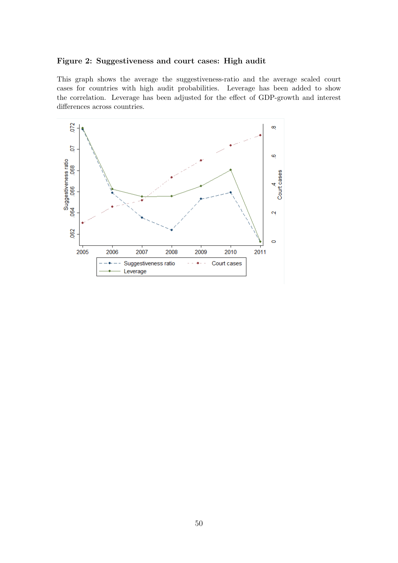### Figure 2: Suggestiveness and court cases: High audit

This graph shows the average the suggestiveness-ratio and the average scaled court cases for countries with high audit probabilities. Leverage has been added to show the correlation. Leverage has been adjusted for the effect of GDP-growth and interest differences across countries.

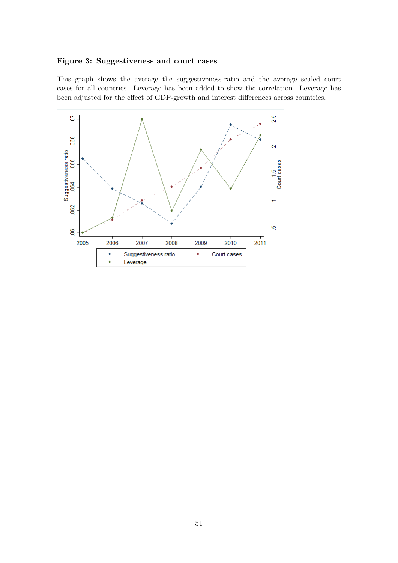### Figure 3: Suggestiveness and court cases

This graph shows the average the suggestiveness-ratio and the average scaled court cases for all countries. Leverage has been added to show the correlation. Leverage has been adjusted for the effect of GDP-growth and interest differences across countries.

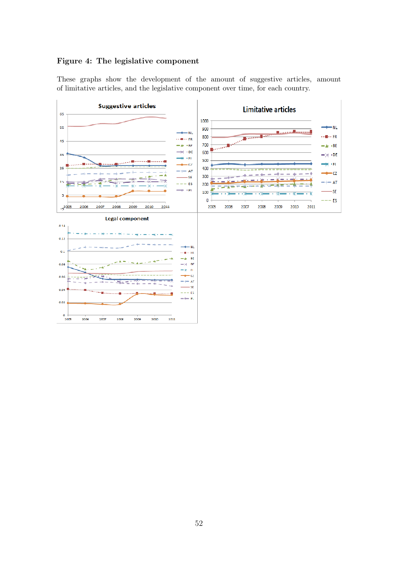# Figure 4: The legislative component

These graphs show the development of the amount of suggestive articles, amount of limitative articles, and the legislative component over time, for each country.

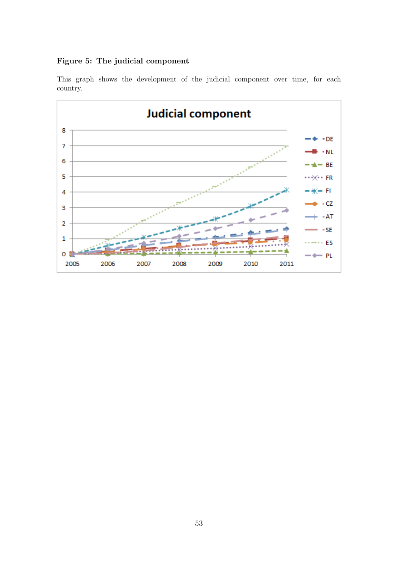# Figure 5: The judicial component



This graph shows the development of the judicial component over time, for each country.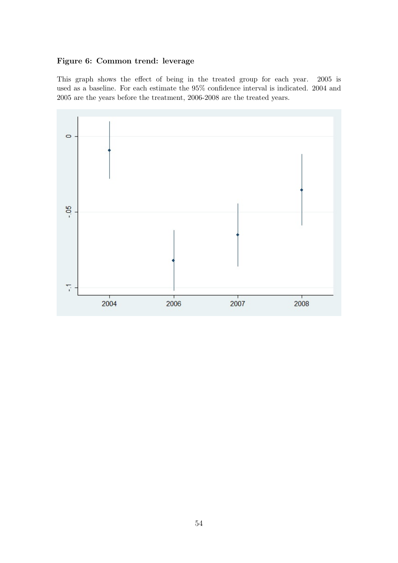# Figure 6: Common trend: leverage

This graph shows the effect of being in the treated group for each year. 2005 is used as a baseline. For each estimate the 95% confidence interval is indicated. 2004 and 2005 are the years before the treatment, 2006-2008 are the treated years.

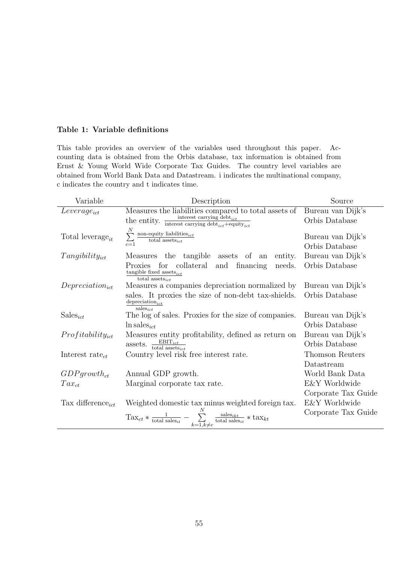### Table 1: Variable definitions

This table provides an overview of the variables used throughout this paper. Accounting data is obtained from the Orbis database, tax information is obtained from Ernst & Young World Wide Corporate Tax Guides. The country level variables are obtained from World Bank Data and Datastream. i indicates the multinational company, c indicates the country and t indicates time.

| Variable                      | Description                                                                                                                                           | Source              |
|-------------------------------|-------------------------------------------------------------------------------------------------------------------------------------------------------|---------------------|
| $Leverage_{ict}$              | Measures the liabilities compared to total assets of                                                                                                  | Bureau van Dijk's   |
|                               | the entity. $\frac{\text{interest carrying debt}_{ict}}{\text{interest carrying debt}_{ict} + \text{equity}_{ict}}$                                   | Orbis Database      |
| Total leverage <sub>it</sub>  | $\sum_{c=1}^{N}$ non-equity liabilities $_{ict}$ total assets $_{ict}$                                                                                | Bureau van Dijk's   |
|                               |                                                                                                                                                       | Orbis Database      |
| $Tangibility_{ict}$           | Measures the tangible assets of an<br>entity.                                                                                                         | Bureau van Dijk's   |
|                               | for collateral and financing<br>Proxies<br>needs.                                                                                                     | Orbis Database      |
|                               | tangible fixed assets $_{ict}$<br>total assets <sub>ict</sub>                                                                                         |                     |
| $Depreciation_{ict}$          | Measures a companies depreciation normalized by                                                                                                       | Bureau van Dijk's   |
|                               | sales. It proxies the size of non-debt tax-shields.                                                                                                   | Orbis Database      |
|                               | $\operatorname{depreciation}_{ict}$<br>$sales_{ict}$                                                                                                  |                     |
| $Sales_{ict}$                 | The log of sales. Proxies for the size of companies.                                                                                                  | Bureau van Dijk's   |
|                               | $\ln$ sales <sub>ict</sub>                                                                                                                            | Orbis Database      |
| $Profitability_{ict}$         | Measures entity profitability, defined as return on                                                                                                   | Bureau van Dijk's   |
|                               | assets. $\frac{\text{EBIT}_{ict}}{\text{total assets}_{ict}}$                                                                                         | Orbis Database      |
| Interest rate $_{ct}$         | Country level risk free interest rate.                                                                                                                | Thomson Reuters     |
|                               |                                                                                                                                                       | Datastream          |
| $GDP$ growth <sub>ct</sub>    | Annual GDP growth.                                                                                                                                    | World Bank Data     |
| $Tax_{ct}$                    | Marginal corporate tax rate.                                                                                                                          | E&Y Worldwide       |
|                               |                                                                                                                                                       | Corporate Tax Guide |
| Tax difference <sub>ict</sub> | Weighted domestic tax minus weighted foreign tax.                                                                                                     | E&Y Worldwide       |
|                               | $\text{Tax}_{ct} * \frac{1}{\text{total sales}_{it}} - \sum_{k=1, k \neq c}^{N} \frac{\text{sales}_{ikt}}{\text{total sales}_{it}} * \text{tax}_{kt}$ | Corporate Tax Guide |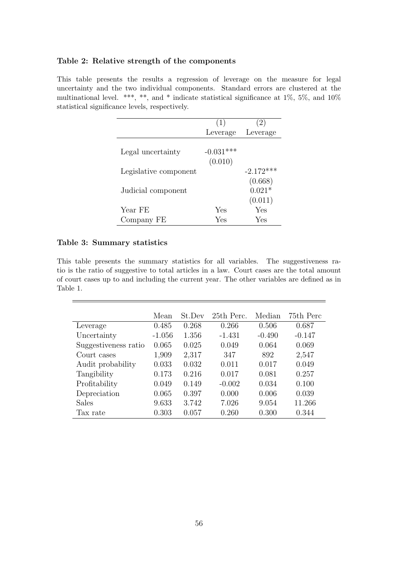### Table 2: Relative strength of the components

This table presents the results a regression of leverage on the measure for legal uncertainty and the two individual components. Standard errors are clustered at the multinational level. \*\*\*, \*\*, and \* indicate statistical significance at 1%, 5%, and 10% statistical significance levels, respectively.

|                       | (1)                    | $\left 2\right\rangle$         |
|-----------------------|------------------------|--------------------------------|
|                       | Leverage               | Leverage                       |
| Legal uncertainty     | $-0.031***$<br>(0.010) |                                |
| Legislative component |                        | $-2.172***$                    |
| Judicial component    |                        | (0.668)<br>$0.021*$<br>(0.011) |
| Year FE               | Yes                    | Yes                            |
| Company FE            | Yes                    | Yes                            |

### Table 3: Summary statistics

This table presents the summary statistics for all variables. The suggestiveness ratio is the ratio of suggestive to total articles in a law. Court cases are the total amount of court cases up to and including the current year. The other variables are defined as in Table 1.

|                      | Mean     | St.Dev | 25th Perc. | Median   | 75th Perc |
|----------------------|----------|--------|------------|----------|-----------|
| Leverage             | 0.485    | 0.268  | 0.266      | 0.506    | 0.687     |
| Uncertainty          | $-1.056$ | 1.356  | $-1.431$   | $-0.490$ | $-0.147$  |
| Suggestiveness ratio | 0.065    | 0.025  | 0.049      | 0.064    | 0.069     |
| Court cases          | 1,909    | 2,317  | 347        | 892      | 2,547     |
| Audit probability    | 0.033    | 0.032  | 0.011      | 0.017    | 0.049     |
| Tangibility          | 0.173    | 0.216  | 0.017      | 0.081    | 0.257     |
| Profitability        | 0.049    | 0.149  | $-0.002$   | 0.034    | 0.100     |
| Depreciation         | 0.065    | 0.397  | 0.000      | 0.006    | 0.039     |
| <b>Sales</b>         | 9.633    | 3.742  | 7.026      | 9.054    | 11.266    |
| Tax rate             | 0.303    | 0.057  | 0.260      | 0.300    | 0.344     |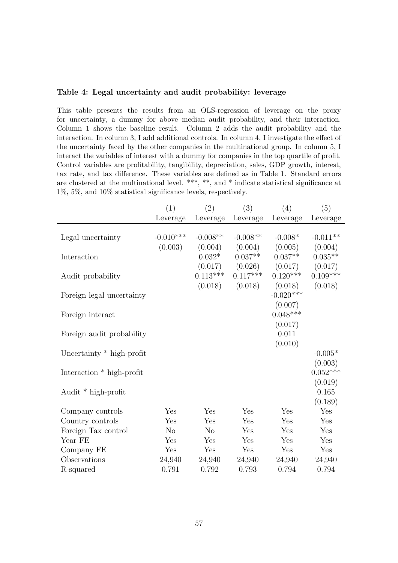### Table 4: Legal uncertainty and audit probability: leverage

This table presents the results from an OLS-regression of leverage on the proxy for uncertainty, a dummy for above median audit probability, and their interaction. Column 1 shows the baseline result. Column 2 adds the audit probability and the interaction. In column 3, I add additional controls. In column 4, I investigate the effect of the uncertainty faced by the other companies in the multinational group. In column 5, I interact the variables of interest with a dummy for companies in the top quartile of profit. Control variables are profitability, tangibility, depreciation, sales, GDP growth, interest, tax rate, and tax difference. These variables are defined as in Table 1. Standard errors are clustered at the multinational level. \*\*\*, \*\*, and \* indicate statistical significance at 1%, 5%, and 10% statistical significance levels, respectively.

|                           | (1)            | (2)        | $\overline{(3)}$ | (4)         | (5)        |
|---------------------------|----------------|------------|------------------|-------------|------------|
|                           | Leverage       | Leverage   | Leverage         | Leverage    | Leverage   |
|                           |                |            |                  |             |            |
| Legal uncertainty         | $-0.010***$    | $-0.008**$ | $-0.008**$       | $-0.008*$   | $-0.011**$ |
|                           | (0.003)        | (0.004)    | (0.004)          | (0.005)     | (0.004)    |
| Interaction               |                | $0.032*$   | $0.037**$        | $0.037**$   | $0.035**$  |
|                           |                | (0.017)    | (0.026)          | (0.017)     | (0.017)    |
| Audit probability         |                | $0.113***$ | $0.117***$       | $0.120***$  | $0.109***$ |
|                           |                | (0.018)    | (0.018)          | (0.018)     | (0.018)    |
| Foreign legal uncertainty |                |            |                  | $-0.020***$ |            |
|                           |                |            |                  | (0.007)     |            |
| Foreign interact          |                |            |                  | $0.048***$  |            |
|                           |                |            |                  | (0.017)     |            |
| Foreign audit probability |                |            |                  | 0.011       |            |
|                           |                |            |                  | (0.010)     |            |
| Uncertainty * high-profit |                |            |                  |             | $-0.005*$  |
|                           |                |            |                  |             | (0.003)    |
| Interaction * high-profit |                |            |                  |             | $0.052***$ |
|                           |                |            |                  |             | (0.019)    |
| Audit * high-profit       |                |            |                  |             | 0.165      |
|                           |                |            |                  |             | (0.189)    |
| Company controls          | Yes            | Yes        | Yes              | Yes         | Yes        |
| Country controls          | Yes            | Yes        | Yes              | Yes         | Yes        |
| Foreign Tax control       | N <sub>o</sub> | No         | Yes              | Yes         | Yes        |
| Year FE                   | Yes            | Yes        | Yes              | Yes         | Yes        |
| Company FE                | Yes            | Yes        | Yes              | Yes         | Yes        |
| Observations              | 24,940         | 24,940     | 24,940           | 24,940      | 24,940     |
| R-squared                 | 0.791          | $0.792\,$  | 0.793            | 0.794       | 0.794      |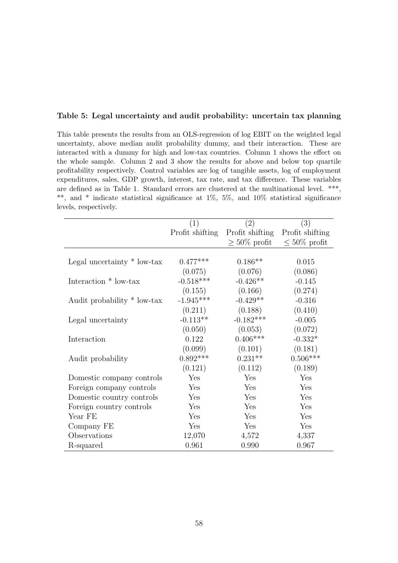### Table 5: Legal uncertainty and audit probability: uncertain tax planning

This table presents the results from an OLS-regression of log EBIT on the weighted legal uncertainty, above median audit probability dummy, and their interaction. These are interacted with a dummy for high and low-tax countries. Column 1 shows the effect on the whole sample. Column 2 and 3 show the results for above and below top quartile profitability respectively. Control variables are log of tangible assets, log of employment expenditures, sales, GDP growth, interest, tax rate, and tax difference. These variables are defined as in Table 1. Standard errors are clustered at the multinational level. \*\*\*, \*\*, and \* indicate statistical significance at 1%, 5%, and 10% statistical significance levels, respectively.

|                               | (1)             | $\left( 2\right)$ | (3)                |
|-------------------------------|-----------------|-------------------|--------------------|
|                               | Profit shifting | Profit shifting   | Profit shifting    |
|                               |                 | $>50\%$ profit    | $\leq 50\%$ profit |
|                               |                 |                   |                    |
| Legal uncertainty $*$ low-tax | $0.477***$      | $0.186**$         | 0.015              |
|                               | (0.075)         | (0.076)           | (0.086)            |
| Interaction * low-tax         | $-0.518***$     | $-0.426**$        | $-0.145$           |
|                               | (0.155)         | (0.166)           | (0.274)            |
| Audit probability * low-tax   | $-1.945***$     | $-0.429**$        | $-0.316$           |
|                               | (0.211)         | (0.188)           | (0.410)            |
| Legal uncertainty             | $-0.113**$      | $-0.182***$       | $-0.005$           |
|                               | (0.050)         | (0.053)           | (0.072)            |
| Interaction                   | 0.122           | $0.406***$        | $-0.332*$          |
|                               | (0.099)         | (0.101)           | (0.181)            |
| Audit probability             | $0.892***$      | $0.231**$         | $0.506***$         |
|                               | (0.121)         | (0.112)           | (0.189)            |
| Domestic company controls     | Yes             | Yes               | Yes                |
| Foreign company controls      | Yes             | Yes               | Yes                |
| Domestic country controls     | Yes             | Yes               | Yes                |
| Foreign country controls      | Yes             | Yes               | Yes                |
| Year FE                       | Yes             | Yes               | Yes                |
| Company FE                    | Yes             | Yes               | Yes                |
| Observations                  | 12,070          | 4,572             | 4,337              |
| R-squared                     | 0.961           | 0.990             | 0.967              |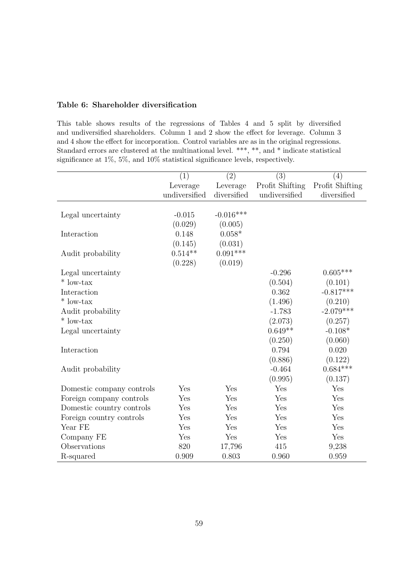### Table 6: Shareholder diversification

This table shows results of the regressions of Tables 4 and 5 split by diversified and undiversified shareholders. Column 1 and 2 show the effect for leverage. Column 3 and 4 show the effect for incorporation. Control variables are as in the original regressions. Standard errors are clustered at the multinational level. \*\*\*, \*\*, and \* indicate statistical significance at 1%, 5%, and 10% statistical significance levels, respectively.

|                           | (1)           | (2)         | (3)             | (4)             |
|---------------------------|---------------|-------------|-----------------|-----------------|
|                           | Leverage      | Leverage    | Profit Shifting | Profit Shifting |
|                           | undiversified | diversified | undiversified   | diversified     |
|                           |               |             |                 |                 |
| Legal uncertainty         | $-0.015$      | $-0.016***$ |                 |                 |
|                           | (0.029)       | (0.005)     |                 |                 |
| Interaction               | 0.148         | $0.058*$    |                 |                 |
|                           | (0.145)       | (0.031)     |                 |                 |
| Audit probability         | $0.514**$     | $0.091***$  |                 |                 |
|                           | (0.228)       | (0.019)     |                 |                 |
| Legal uncertainty         |               |             | $-0.296$        | $0.605***$      |
| $*$ low-tax               |               |             | (0.504)         | (0.101)         |
| Interaction               |               |             | 0.362           | $-0.817***$     |
| $*$ low-tax               |               |             | (1.496)         | (0.210)         |
| Audit probability         |               |             | $-1.783$        | $-2.079***$     |
| $*$ low-tax               |               |             | (2.073)         | (0.257)         |
| Legal uncertainty         |               |             | $0.649**$       | $-0.108*$       |
|                           |               |             | (0.250)         | (0.060)         |
| Interaction               |               |             | 0.794           | 0.020           |
|                           |               |             | (0.886)         | (0.122)         |
| Audit probability         |               |             | $-0.464$        | $0.684***$      |
|                           |               |             | (0.995)         | (0.137)         |
| Domestic company controls | Yes           | Yes         | Yes             | Yes             |
| Foreign company controls  | Yes           | Yes         | Yes             | Yes             |
| Domestic country controls | Yes           | Yes         | Yes             | Yes             |
| Foreign country controls  | Yes           | Yes         | Yes             | Yes             |
| Year FE                   | Yes           | Yes         | Yes             | Yes             |
| Company FE                | Yes           | Yes         | Yes             | Yes             |
| Observations              | 820           | 17,796      | 415             | 9,238           |
| R-squared                 | 0.909         | 0.803       | 0.960           | 0.959           |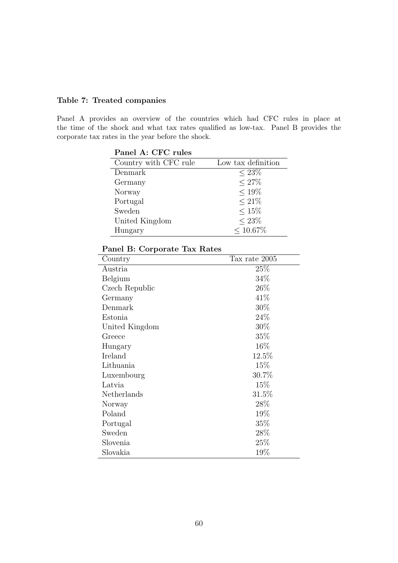# Table 7: Treated companies

Panel A provides an overview of the countries which had CFC rules in place at the time of the shock and what tax rates qualified as low-tax. Panel B provides the corporate tax rates in the year before the shock.

| Panel A: CFC rules    |                    |
|-----------------------|--------------------|
| Country with CFC rule | Low tax definition |
| Denmark               | $< 23\%$           |
| Germany               | $< 27\%$           |
| Norway                | $< 19\%$           |
| Portugal              | $< 21\%$           |
| Sweden                | $< 15\%$           |
| United Kingdom        | $< 23\%$           |
| Hungary               | $< 10.67\%$        |

| Tax rate 2005 |
|---------------|
| 25%           |
| 34%           |
| $26\%$        |
| 41\%          |
| 30%           |
| 24\%          |
| $30\%$        |
| $35\%$        |
| 16\%          |
| 12.5%         |
| 15\%          |
| 30.7%         |
| 15\%          |
| $31.5\%$      |
| $28\%$        |
| 19%           |
| $35\%$        |
| 28\%          |
| 25%           |
| 19%           |
|               |

# Panel B: Corporate Tax Rates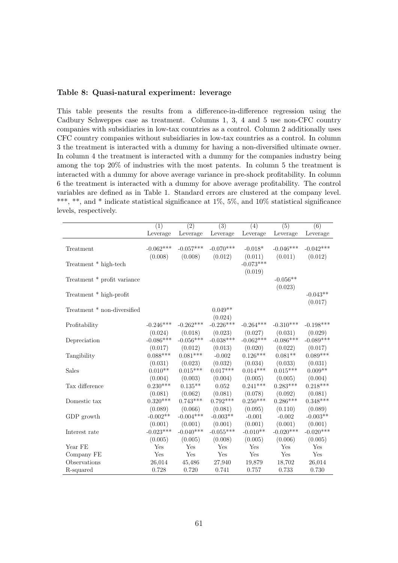### Table 8: Quasi-natural experiment: leverage

This table presents the results from a difference-in-difference regression using the Cadbury Schweppes case as treatment. Columns 1, 3, 4 and 5 use non-CFC country companies with subsidiaries in low-tax countries as a control. Column 2 additionally uses CFC country companies without subsidiaries in low-tax countries as a control. In column 3 the treatment is interacted with a dummy for having a non-diversified ultimate owner. In column 4 the treatment is interacted with a dummy for the companies industry being among the top 20% of industries with the most patents. In column 5 the treatment is interacted with a dummy for above average variance in pre-shock profitability. In column 6 the treatment is interacted with a dummy for above average profitability. The control variables are defined as in Table 1. Standard errors are clustered at the company level. \*\*\*, \*\*, and \* indicate statistical significance at  $1\%$ ,  $5\%$ , and  $10\%$  statistical significance levels, respectively.

|                             | $\overline{(1)}$ | $\overline{(2)}$ | $\overline{(3)}$ | $\overline{(4)}$ | $\overline{(5)}$ | $\overline{(6)}$ |
|-----------------------------|------------------|------------------|------------------|------------------|------------------|------------------|
|                             | Leverage         | Leverage         | Leverage         | Leverage         | Leverage         | Leverage         |
|                             |                  |                  |                  |                  |                  |                  |
| Treatment                   | $-0.062***$      | $-0.057***$      | $-0.070***$      | $-0.018*$        | $-0.046***$      | $-0.042***$      |
|                             | (0.008)          | (0.008)          | (0.012)          | (0.011)          | (0.011)          | (0.012)          |
| Treatment * high-tech       |                  |                  |                  | $-0.073***$      |                  |                  |
|                             |                  |                  |                  | (0.019)          |                  |                  |
| Treatment * profit variance |                  |                  |                  |                  | $-0.056**$       |                  |
|                             |                  |                  |                  |                  | (0.023)          |                  |
| Treatment * high-profit     |                  |                  |                  |                  |                  | $-0.043**$       |
|                             |                  |                  |                  |                  |                  | (0.017)          |
| Treatment * non-diversified |                  |                  | $0.049**$        |                  |                  |                  |
|                             |                  |                  | (0.024)          |                  |                  |                  |
| Profitability               | $-0.246***$      | $-0.262***$      | $-0.226***$      | $-0.264***$      | $-0.310***$      | $-0.198***$      |
|                             | (0.024)          | (0.018)          | (0.023)          | (0.027)          | (0.031)          | (0.029)          |
| Depreciation                | $-0.086***$      | $-0.056***$      | $-0.038***$      | $-0.062***$      | $-0.086***$      | $-0.089***$      |
|                             | (0.017)          | (0.012)          | (0.013)          | (0.020)          | (0.022)          | (0.017)          |
| Tangibility                 | $0.088***$       | $0.081***$       | $-0.002$         | $0.126***$       | $0.081**$        | $0.089***$       |
|                             | (0.031)          | (0.023)          | (0.032)          | (0.034)          | (0.033)          | (0.031)          |
| Sales                       | $0.010**$        | $0.015***$       | $0.017***$       | $0.014***$       | $0.015***$       | $0.009**$        |
|                             | (0.004)          | (0.003)          | (0.004)          | (0.005)          | (0.005)          | (0.004)          |
| Tax difference              | $0.230***$       | $0.135**$        | 0.052            | $0.241***$       | $0.283***$       | $0.218***$       |
|                             | (0.081)          | (0.062)          | (0.081)          | (0.078)          | (0.092)          | (0.081)          |
| Domestic tax                | $0.320***$       | $0.743***$       | $0.792***$       | $0.250***$       | $0.286***$       | $0.348***$       |
|                             | (0.089)          | (0.066)          | (0.081)          | (0.095)          | (0.110)          | (0.089)          |
| GDP growth                  | $-0.002**$       | $-0.004***$      | $-0.003**$       | $-0.001$         | $-0.002$         | $-0.003**$       |
|                             | (0.001)          | (0.001)          | (0.001)          | (0.001)          | (0.001)          | (0.001)          |
| Interest rate               | $-0.023***$      | $-0.040***$      | $-0.055***$      | $-0.010**$       | $-0.020***$      | $-0.020***$      |
|                             | (0.005)          | (0.005)          | (0.008)          | (0.005)          | (0.006)          | (0.005)          |
| Year FE                     | Yes              | Yes              | Yes              | Yes              | Yes              | Yes              |
| Company FE                  | Yes              | Yes              | Yes              | Yes              | Yes              | Yes              |
| Observations                | 26,014           | 45,486           | 27,940           | 19,879           | 18,702           | 26,014           |
| R-squared                   | 0.728            | 0.720            | 0.741            | 0.757            | 0.733            | 0.730            |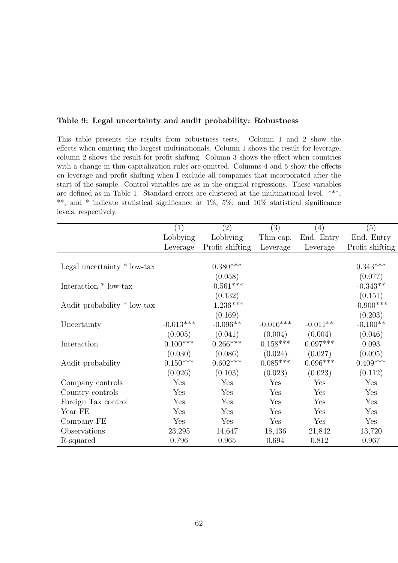|  |  | Table 9: Legal uncertainty and audit probability: Robustness |  |
|--|--|--------------------------------------------------------------|--|
|  |  |                                                              |  |

This table presents the results from robustness tests. Column 1 and 2 show the effects when omitting the largest multinationals. Column 1 shows the result for leverage, column 2 shows the result for profit shifting. Column 3 shows the effect when countries with a change in thin-capitalization rules are omitted. Columns 4 and 5 show the effects on leverage and profit shifting when I exclude all companies that incorporated after the start of the sample. Control variables are as in the original regressions. These variables are defined as in Table 1. Standard errors are clustered at the multinational level. \*\*\*, \*\*, and \* indicate statistical significance at 1%, 5%, and 10% statistical significance levels, respectively.

|                               | (1)         | (2)             | (3)         | (4)        | (5)             |
|-------------------------------|-------------|-----------------|-------------|------------|-----------------|
|                               | Lobbying    | Lobbying        | Thin-cap.   | End. Entry | End. Entry      |
|                               | Leverage    | Profit shifting | Leverage    | Leverage   | Profit shifting |
|                               |             |                 |             |            |                 |
| Legal uncertainty $*$ low-tax |             | $0.380***$      |             |            | $0.343***$      |
|                               |             | (0.058)         |             |            | (0.077)         |
| Interaction * low-tax         |             | $-0.561***$     |             |            | $-0.343**$      |
|                               |             | (0.132)         |             |            | (0.151)         |
| Audit probability * low-tax   |             | $-1.236***$     |             |            | $-0.900***$     |
|                               |             | (0.169)         |             |            | (0.203)         |
| Uncertainty                   | $-0.013***$ | $-0.096**$      | $-0.016***$ | $-0.011**$ | $-0.100**$      |
|                               | (0.005)     | (0.041)         | (0.004)     | (0.004)    | (0.046)         |
| Interaction                   | $0.100***$  | $0.266***$      | $0.158***$  | $0.097***$ | 0.093           |
|                               | (0.030)     | (0.086)         | (0.024)     | (0.027)    | (0.095)         |
| Audit probability             | $0.150***$  | $0.602***$      | $0.085***$  | $0.096***$ | $0.409***$      |
|                               | (0.026)     | (0.103)         | (0.023)     | (0.023)    | (0.112)         |
| Company controls              | Yes         | Yes             | Yes         | Yes        | Yes             |
| Country controls              | Yes         | Yes             | Yes         | Yes        | Yes             |
| Foreign Tax control           | Yes         | Yes             | Yes         | Yes        | Yes             |
| Year FE                       | Yes         | Yes             | Yes         | Yes        | Yes             |
| Company FE                    | Yes         | Yes             | Yes         | Yes        | Yes             |
| Observations                  | 23,295      | 14,647          | 18,436      | 21,842     | 13,720          |
| R-squared                     | 0.796       | 0.965           | 0.694       | 0.812      | 0.967           |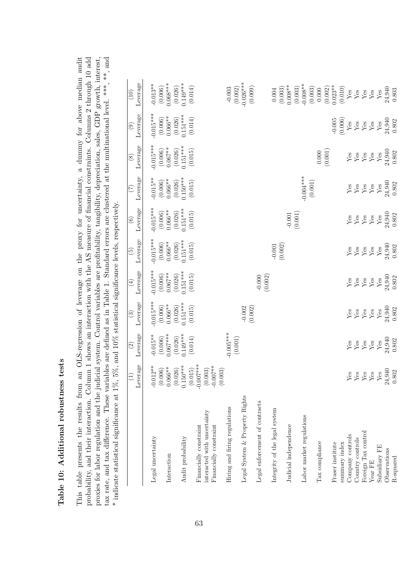| - C<br>- C<br>- C<br>- C<br>- C<br>- C |  |
|----------------------------------------|--|
| $\frac{1}{2}$<br>i                     |  |
|                                        |  |
| i<br>ı<br>I                            |  |

probability, and their interaction. Column 1 shows an interaction with the AS measure of financial constraints. Columns 2 through 10 add proxies for labor regulation and the judicial system. Control variables are profitability, tangibility, depreciation, sales, GDP growth, interest, tax rate, and tax difference. These variables are defined as in Table 1. Standard errors are clustered at the multinational level. \*\*\*, and  $*$  indicational level. \*\*\*, and indicational level. \*\*\*, and  $*$  indication cont This table presents the results from an OLS-regression of leverage on the proxy for uncertainty, a dummy for above median audit This table presents the results from an OLS-regression of leverage on the proxy for uncertainty, a dummy for above median audit probability, and their interaction. Column 1 shows an interaction with the AS measure of financial constraints. Columns 2 through 10 add proxies for labor regulation and the judicial system. Control variables are profitability, tangibility, depreciation, sales, GDP growth, interest, tax rate, and tax difference. These variables are defined as in Table 1. Standard errors are clustered at the multinational level. \*\*\*, and  $*$  indicate statistical significance at 1%, 5%, and 10% statistical significance levels, respectively.  $*$  indica

|                                | $\widehat{\Xi}$        | $\widetilde{c}$                      | $\binom{3}{2}$                  | $\bigoplus$                                                 | $\widetilde{5}$                                                                       | $\odot$                                                   | $\widetilde{C}$                                                                                   | $\circledS$                                                                           | $\odot$                                                                                                     | (10)                                                      |
|--------------------------------|------------------------|--------------------------------------|---------------------------------|-------------------------------------------------------------|---------------------------------------------------------------------------------------|-----------------------------------------------------------|---------------------------------------------------------------------------------------------------|---------------------------------------------------------------------------------------|-------------------------------------------------------------------------------------------------------------|-----------------------------------------------------------|
|                                | Leverage               | Leverage                             | Leverage                        | Leverage                                                    | Leverage                                                                              | Leverage                                                  | Leverage                                                                                          | Leverage                                                                              | Leverage                                                                                                    | Leverage                                                  |
| Legal uncertainty              | $-0.012**$             | $-0.015**$                           | $-0.015***$                     | $-0.015***$                                                 | $-0.015***$                                                                           | $-0.015***$                                               | $-0.015**$                                                                                        | $0.015***$                                                                            | $-0.015***$                                                                                                 | $-0.013**$                                                |
|                                | $(0.006)$<br>$0.066**$ | $(0.006)$<br>0.067***                | $(0.006)$<br>$0.066**$          | $(0.006)$<br>$0.067**$                                      | $(0.006)$<br>$0.066**$                                                                | $(0.006)$<br>$0.066**$                                    | (0.006)                                                                                           | $(0.006)$<br>0.067**                                                                  | $(0.006)$<br>$0.066**$                                                                                      | $(0.006)$<br>0.068***                                     |
| Interaction                    |                        |                                      |                                 |                                                             |                                                                                       |                                                           | $0.066**$                                                                                         |                                                                                       |                                                                                                             |                                                           |
| Audit probability              | $0.150***$<br>(0.026)  | $0.149***$<br>(0.026)                | $0.151***$<br>(0.026)           | $0.151***$<br>(0.026)                                       | $0.151***$<br>(0.026)                                                                 | $0.151***$<br>(0.026)                                     | $0.150***$<br>(0.026)                                                                             | $0.151***$<br>(0.026)                                                                 | $(0.026)$<br>0.151***                                                                                       | $0.149***$<br>(0.026)                                     |
| Financially constraint         | $(0.015)$<br>-0.007*** | (0.014)                              | (0.015)                         | (0.015)                                                     | (0.015)                                                                               | (0.015)                                                   | (0.015)                                                                                           | (0.015)                                                                               | (0.014)                                                                                                     | (0.014)                                                   |
| interacted with uncertainty    | $(0.003)$<br>-0.007**  |                                      |                                 |                                                             |                                                                                       |                                                           |                                                                                                   |                                                                                       |                                                                                                             |                                                           |
| Financially constraint         | (0.003)                |                                      |                                 |                                                             |                                                                                       |                                                           |                                                                                                   |                                                                                       |                                                                                                             |                                                           |
| Hiring and firing regulations  |                        | $-0.005***$<br>$\left( 0.001\right)$ |                                 |                                                             |                                                                                       |                                                           |                                                                                                   |                                                                                       |                                                                                                             | (0.002)<br>$-0.003$                                       |
| Legal System & Property Rights |                        |                                      | $-0.002$<br>(0.002)             |                                                             |                                                                                       |                                                           |                                                                                                   |                                                                                       |                                                                                                             | $-0.026***$                                               |
| Legal enforcement of contracts |                        |                                      |                                 | $-0.000$                                                    |                                                                                       |                                                           |                                                                                                   |                                                                                       |                                                                                                             | (0.009)                                                   |
| Integrity of the legal system  |                        |                                      |                                 | (0.002)                                                     |                                                                                       |                                                           |                                                                                                   |                                                                                       |                                                                                                             | $0.004\,$                                                 |
|                                |                        |                                      |                                 |                                                             | $-0.001$<br>(0.002)                                                                   |                                                           |                                                                                                   |                                                                                       |                                                                                                             | (0.003)                                                   |
| Judicial independence          |                        |                                      |                                 |                                                             |                                                                                       | $-0.001$ (0.001)                                          |                                                                                                   |                                                                                       |                                                                                                             | $0.008**$<br>(0.003)                                      |
| Labor market regulations       |                        |                                      |                                 |                                                             |                                                                                       |                                                           | $-0.004***$                                                                                       |                                                                                       |                                                                                                             | $-0.008**$                                                |
|                                |                        |                                      |                                 |                                                             |                                                                                       |                                                           | $\left( 0.001\right)$                                                                             |                                                                                       |                                                                                                             | (0.003)                                                   |
| Tax compliance                 |                        |                                      |                                 |                                                             |                                                                                       |                                                           |                                                                                                   | $0.000\,$                                                                             |                                                                                                             | $0.000\,$                                                 |
| Fraser institute               |                        |                                      |                                 |                                                             |                                                                                       |                                                           |                                                                                                   | (0.001)                                                                               |                                                                                                             | $0.023**$<br>(0.002)                                      |
| summary index                  |                        |                                      |                                 |                                                             |                                                                                       |                                                           |                                                                                                   |                                                                                       | $-0.005$<br>$(0.006)$                                                                                       |                                                           |
| Company controls               |                        | ${\rm Yes}$                          |                                 |                                                             |                                                                                       | ${\rm Yes}$                                               | ${\rm Yes}$                                                                                       |                                                                                       |                                                                                                             | $_{\rm Yes}^{(0.010)}$                                    |
| Country controls               | $_{\rm Yes}^{\rm Yes}$ | ${\rm Yes}$                          | $\frac{\text{Yes}}{\text{Yes}}$ | $\frac{\text{Yes}}{\text{Yes}}$                             |                                                                                       |                                                           |                                                                                                   |                                                                                       |                                                                                                             |                                                           |
| Foreign Tax control            | ${\rm Yes}$            | ${\rm Yes}$                          |                                 |                                                             | $\begin{array}{c}\n\text{Yes} \\ \text{Yes} \\ \text{Yes} \\ \text{Yes}\n\end{array}$ | $\begin{array}{c}\nY_{CS}\\ Y_{CS}\\ Y_{CS}\n\end{array}$ | $\begin{array}{c} \mathbf{Y} \\ \mathbf{X} \\ \mathbf{X} \\ \mathbf{X} \\ \mathbf{X} \end{array}$ | $\begin{array}{c}\n\text{Yes} \\ \text{Yes} \\ \text{Yes} \\ \text{Yes}\n\end{array}$ | $\begin{array}{c} \mathtt{Yes} \\ \mathtt{Yes} \\ \mathtt{Yes} \\ \mathtt{Yes} \\ \mathtt{Yes} \end{array}$ | $\begin{array}{c}\nY\text{es} \\ Y\text{es}\n\end{array}$ |
| Year FE                        | ${\rm Yes}$            | $\mathbf{Y}\mathbf{es}$              | $\mathbf{Y}\mathbf{es}$         | $\mathbf{Y}\mathbf{es}$                                     |                                                                                       |                                                           |                                                                                                   |                                                                                       |                                                                                                             |                                                           |
| Subsidiary FE                  | $\mathbf{Yes}$         | ${\rm Yes}$                          | ${\rm Yes}$                     |                                                             | ${\rm Yes}$                                                                           | ${\rm Yes}$                                               | ${\rm Yes}$                                                                                       | $\mathbf{Y}\mathbf{es}$                                                               |                                                                                                             | ${\rm Yes}$                                               |
| Observations                   | 24,940                 | $24,940$<br>$0.802$                  | 24,940<br>0.802                 | $\begin{array}{c} {\rm Yes} \\ 24,940 \\ 0.802 \end{array}$ | 24,940<br>0.802                                                                       | 24,940<br>0.802                                           | $24,940$<br>$0.802$                                                                               | 24,940                                                                                | 24,940<br>0.802                                                                                             | 24,940<br>0.803                                           |
| R-squared                      | 0.802                  |                                      |                                 |                                                             |                                                                                       |                                                           |                                                                                                   | 0.802                                                                                 |                                                                                                             |                                                           |